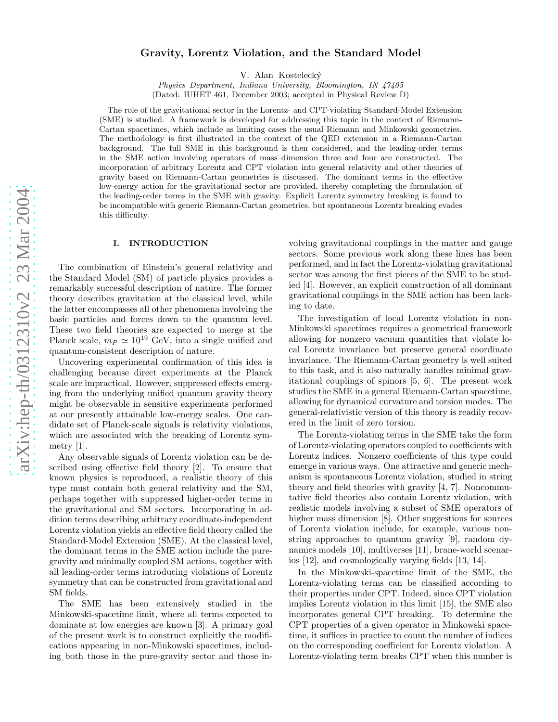# $arXiv:hep-th/0312310v2$  23 Mar 2004 [arXiv:hep-th/0312310v2 23 Mar 2004](http://arxiv.org/abs/hep-th/0312310v2)

# Gravity, Lorentz Violation, and the Standard Model

V. Alan Kostelecký

*Physics Department, Indiana University, Bloomington, IN 47405* (Dated: IUHET 461, December 2003; accepted in Physical Review D)

The role of the gravitational sector in the Lorentz- and CPT-violating Standard-Model Extension (SME) is studied. A framework is developed for addressing this topic in the context of Riemann-Cartan spacetimes, which include as limiting cases the usual Riemann and Minkowski geometries. The methodology is first illustrated in the context of the QED extension in a Riemann-Cartan background. The full SME in this background is then considered, and the leading-order terms in the SME action involving operators of mass dimension three and four are constructed. The incorporation of arbitrary Lorentz and CPT violation into general relativity and other theories of gravity based on Riemann-Cartan geometries is discussed. The dominant terms in the effective low-energy action for the gravitational sector are provided, thereby completing the formulation of the leading-order terms in the SME with gravity. Explicit Lorentz symmetry breaking is found to be incompatible with generic Riemann-Cartan geometries, but spontaneous Lorentz breaking evades this difficulty.

# I. INTRODUCTION

The combination of Einstein's general relativity and the Standard Model (SM) of particle physics provides a remarkably successful description of nature. The former theory describes gravitation at the classical level, while the latter encompasses all other phenomena involving the basic particles and forces down to the quantum level. These two field theories are expected to merge at the Planck scale,  $m_P \simeq 10^{19}$  GeV, into a single unified and quantum-consistent description of nature.

Uncovering experimental confirmation of this idea is challenging because direct experiments at the Planck scale are impractical. However, suppressed effects emerging from the underlying unified quantum gravity theory might be observable in sensitive experiments performed at our presently attainable low-energy scales. One candidate set of Planck-scale signals is relativity violations, which are associated with the breaking of Lorentz symmetry [1].

Any observable signals of Lorentz violation can be described using effective field theory [2]. To ensure that known physics is reproduced, a realistic theory of this type must contain both general relativity and the SM, perhaps together with suppressed higher-order terms in the gravitational and SM sectors. Incorporating in addition terms describing arbitrary coordinate-independent Lorentz violation yields an effective field theory called the Standard-Model Extension (SME). At the classical level, the dominant terms in the SME action include the puregravity and minimally coupled SM actions, together with all leading-order terms introducing violations of Lorentz symmetry that can be constructed from gravitational and SM fields.

The SME has been extensively studied in the Minkowski-spacetime limit, where all terms expected to dominate at low energies are known [3]. A primary goal of the present work is to construct explicitly the modifications appearing in non-Minkowski spacetimes, including both those in the pure-gravity sector and those in-

volving gravitational couplings in the matter and gauge sectors. Some previous work along these lines has been performed, and in fact the Lorentz-violating gravitational sector was among the first pieces of the SME to be studied [4]. However, an explicit construction of all dominant gravitational couplings in the SME action has been lacking to date.

The investigation of local Lorentz violation in non-Minkowski spacetimes requires a geometrical framework allowing for nonzero vacuum quantities that violate local Lorentz invariance but preserve general coordinate invariance. The Riemann-Cartan geometry is well suited to this task, and it also naturally handles minimal gravitational couplings of spinors [5, 6]. The present work studies the SME in a general Riemann-Cartan spacetime, allowing for dynamical curvature and torsion modes. The general-relativistic version of this theory is readily recovered in the limit of zero torsion.

The Lorentz-violating terms in the SME take the form of Lorentz-violating operators coupled to coefficients with Lorentz indices. Nonzero coefficients of this type could emerge in various ways. One attractive and generic mechanism is spontaneous Lorentz violation, studied in string theory and field theories with gravity [4, 7]. Noncommutative field theories also contain Lorentz violation, with realistic models involving a subset of SME operators of higher mass dimension [8]. Other suggestions for sources of Lorentz violation include, for example, various nonstring approaches to quantum gravity [9], random dynamics models [10], multiverses [11], brane-world scenarios [12], and cosmologically varying fields [13, 14].

In the Minkowski-spacetime limit of the SME, the Lorentz-violating terms can be classified according to their properties under CPT. Indeed, since CPT violation implies Lorentz violation in this limit [15], the SME also incorporates general CPT breaking. To determine the CPT properties of a given operator in Minkowski spacetime, it suffices in practice to count the number of indices on the corresponding coefficient for Lorentz violation. A Lorentz-violating term breaks CPT when this number is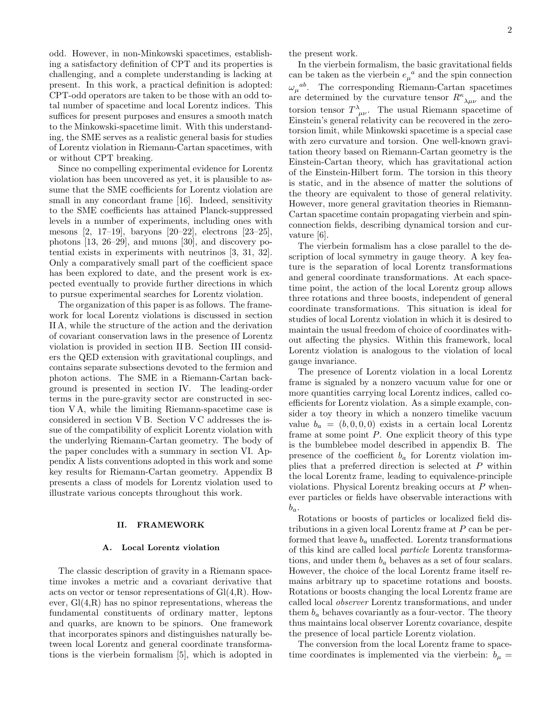odd. However, in non-Minkowski spacetimes, establishing a satisfactory definition of CPT and its properties is challenging, and a complete understanding is lacking at present. In this work, a practical definition is adopted: CPT-odd operators are taken to be those with an odd total number of spacetime and local Lorentz indices. This suffices for present purposes and ensures a smooth match to the Minkowski-spacetime limit. With this understanding, the SME serves as a realistic general basis for studies of Lorentz violation in Riemann-Cartan spacetimes, with or without CPT breaking.

Since no compelling experimental evidence for Lorentz violation has been uncovered as yet, it is plausible to assume that the SME coefficients for Lorentz violation are small in any concordant frame [16]. Indeed, sensitivity to the SME coefficients has attained Planck-suppressed levels in a number of experiments, including ones with mesons [2, 17–19], baryons [20–22], electrons [23–25], photons [13, 26–29], and muons [30], and discovery potential exists in experiments with neutrinos [3, 31, 32]. Only a comparatively small part of the coefficient space has been explored to date, and the present work is expected eventually to provide further directions in which to pursue experimental searches for Lorentz violation.

The organization of this paper is as follows. The framework for local Lorentz violations is discussed in section II A, while the structure of the action and the derivation of covariant conservation laws in the presence of Lorentz violation is provided in section II B. Section III considers the QED extension with gravitational couplings, and contains separate subsections devoted to the fermion and photon actions. The SME in a Riemann-Cartan background is presented in section IV. The leading-order terms in the pure-gravity sector are constructed in section V A, while the limiting Riemann-spacetime case is considered in section V B. Section V C addresses the issue of the compatibility of explicit Lorentz violation with the underlying Riemann-Cartan geometry. The body of the paper concludes with a summary in section VI. Appendix A lists conventions adopted in this work and some key results for Riemann-Cartan geometry. Appendix B presents a class of models for Lorentz violation used to illustrate various concepts throughout this work.

# II. FRAMEWORK

#### A. Local Lorentz violation

The classic description of gravity in a Riemann spacetime invokes a metric and a covariant derivative that acts on vector or tensor representations of  $Gl(4,R)$ . However,  $Gl(4,R)$  has no spinor representations, whereas the fundamental constituents of ordinary matter, leptons and quarks, are known to be spinors. One framework that incorporates spinors and distinguishes naturally between local Lorentz and general coordinate transformations is the vierbein formalism [5], which is adopted in the present work.

In the vierbein formalism, the basic gravitational fields can be taken as the vierbein  $e_{\mu}^{\ a}$  and the spin connection  $\omega_{\mu}{}^{ab}$ . The corresponding Riemann-Cartan spacetimes are determined by the curvature tensor  $R^{\kappa}{}_{\lambda\mu\nu}$  and the torsion tensor  $T^{\lambda}_{\mu\nu}$ . The usual Riemann spacetime of Einstein's general relativity can be recovered in the zerotorsion limit, while Minkowski spacetime is a special case with zero curvature and torsion. One well-known gravitation theory based on Riemann-Cartan geometry is the Einstein-Cartan theory, which has gravitational action of the Einstein-Hilbert form. The torsion in this theory is static, and in the absence of matter the solutions of the theory are equivalent to those of general relativity. However, more general gravitation theories in Riemann-Cartan spacetime contain propagating vierbein and spinconnection fields, describing dynamical torsion and curvature [6].

The vierbein formalism has a close parallel to the description of local symmetry in gauge theory. A key feature is the separation of local Lorentz transformations and general coordinate transformations. At each spacetime point, the action of the local Lorentz group allows three rotations and three boosts, independent of general coordinate transformations. This situation is ideal for studies of local Lorentz violation in which it is desired to maintain the usual freedom of choice of coordinates without affecting the physics. Within this framework, local Lorentz violation is analogous to the violation of local gauge invariance.

The presence of Lorentz violation in a local Lorentz frame is signaled by a nonzero vacuum value for one or more quantities carrying local Lorentz indices, called coefficients for Lorentz violation. As a simple example, consider a toy theory in which a nonzero timelike vacuum value  $b_a = (b, 0, 0, 0)$  exists in a certain local Lorentz frame at some point  $P$ . One explicit theory of this type is the bumblebee model described in appendix B. The presence of the coefficient  $b_a$  for Lorentz violation implies that a preferred direction is selected at P within the local Lorentz frame, leading to equivalence-principle violations. Physical Lorentz breaking occurs at P whenever particles or fields have observable interactions with  $b_a$ .

Rotations or boosts of particles or localized field distributions in a given local Lorentz frame at P can be performed that leave  $b_a$  unaffected. Lorentz transformations of this kind are called local particle Lorentz transformations, and under them  $b_a$  behaves as a set of four scalars. However, the choice of the local Lorentz frame itself remains arbitrary up to spacetime rotations and boosts. Rotations or boosts changing the local Lorentz frame are called local observer Lorentz transformations, and under them  $b_a$  behaves covariantly as a four-vector. The theory thus maintains local observer Lorentz covariance, despite the presence of local particle Lorentz violation.

The conversion from the local Lorentz frame to spacetime coordinates is implemented via the vierbein:  $b_{\mu} =$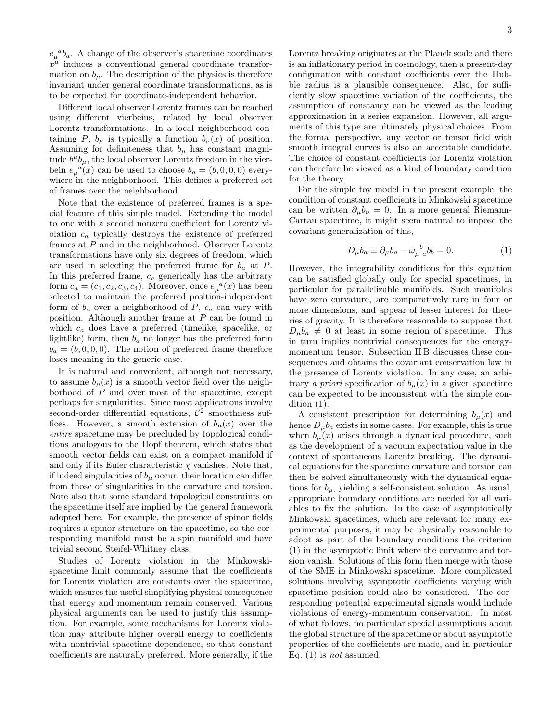$e_{\mu}^{\ \ a}b_{a}$ . A change of the observer's spacetime coordinates  $x^{\mu}$  induces a conventional general coordinate transformation on  $b_{\mu}$ . The description of the physics is therefore invariant under general coordinate transformations, as is to be expected for coordinate-independent behavior.

Different local observer Lorentz frames can be reached using different vierbeins, related by local observer Lorentz transformations. In a local neighborhood containing P,  $b_{\mu}$  is typically a function  $b_{\mu}(x)$  of position. Assuming for definiteness that  $b_{\mu}$  has constant magnitude  $b^{\mu}b_{\mu}$ , the local observer Lorentz freedom in the vierbein  $e_{\mu}^{a}(x)$  can be used to choose  $b_{a} = (b, 0, 0, 0)$  everywhere in the neighborhood. This defines a preferred set of frames over the neighborhood.

Note that the existence of preferred frames is a special feature of this simple model. Extending the model to one with a second nonzero coefficient for Lorentz violation  $c_a$  typically destroys the existence of preferred frames at P and in the neighborhood. Observer Lorentz transformations have only six degrees of freedom, which are used in selecting the preferred frame for  $b_a$  at  $P$ . In this preferred frame,  $c_a$  generically has the arbitrary form  $c_a = (c_1, c_2, c_3, c_4)$ . Moreover, once  $e_\mu^{\ a}(x)$  has been selected to maintain the preferred position-independent form of  $b_a$  over a neighborhood of  $P$ ,  $c_a$  can vary with position. Although another frame at P can be found in which  $c_a$  does have a preferred (timelike, spacelike, or lightlike) form, then  $b_a$  no longer has the preferred form  $b_a = (b, 0, 0, 0)$ . The notion of preferred frame therefore loses meaning in the generic case.

It is natural and convenient, although not necessary, to assume  $b_{\mu}(x)$  is a smooth vector field over the neighborhood of  $P$  and over most of the spacetime, except perhaps for singularities. Since most applications involve second-order differential equations,  $\mathcal{C}^2$  smoothness suffices. However, a smooth extension of  $b_\mu(x)$  over the entire spacetime may be precluded by topological conditions analogous to the Hopf theorem, which states that smooth vector fields can exist on a compact manifold if and only if its Euler characteristic  $\chi$  vanishes. Note that, if indeed singularities of  $b_{\mu}$  occur, their location can differ from those of singularities in the curvature and torsion. Note also that some standard topological constraints on the spacetime itself are implied by the general framework adopted here. For example, the presence of spinor fields requires a spinor structure on the spacetime, so the corresponding manifold must be a spin manifold and have trivial second Steifel-Whitney class.

Studies of Lorentz violation in the Minkowskispacetime limit commonly assume that the coefficients for Lorentz violation are constants over the spacetime, which ensures the useful simplifying physical consequence that energy and momentum remain conserved. Various physical arguments can be used to justify this assumption. For example, some mechanisms for Lorentz violation may attribute higher overall energy to coefficients with nontrivial spacetime dependence, so that constant coefficients are naturally preferred. More generally, if the Lorentz breaking originates at the Planck scale and there is an inflationary period in cosmology, then a present-day configuration with constant coefficients over the Hubble radius is a plausible consequence. Also, for sufficiently slow spacetime variation of the coefficients, the assumption of constancy can be viewed as the leading approximation in a series expansion. However, all arguments of this type are ultimately physical choices. From the formal perspective, any vector or tensor field with smooth integral curves is also an acceptable candidate. The choice of constant coefficients for Lorentz violation can therefore be viewed as a kind of boundary condition for the theory.

For the simple toy model in the present example, the condition of constant coefficients in Minkowski spacetime can be written  $\partial_{\mu}b_{\nu}=0$ . In a more general Riemann-Cartan spacetime, it might seem natural to impose the covariant generalization of this,

$$
D_{\mu}b_{a} \equiv \partial_{\mu}b_{a} - \omega_{\mu}{}^{b}{}_{a}b_{b} = 0. \tag{1}
$$

However, the integrability conditions for this equation can be satisfied globally only for special spacetimes, in particular for parallelizable manifolds. Such manifolds have zero curvature, are comparatively rare in four or more dimensions, and appear of lesser interest for theories of gravity. It is therefore reasonable to suppose that  $D_{\mu}b_{a} \neq 0$  at least in some region of spacetime. This in turn implies nontrivial consequences for the energymomentum tensor. Subsection II B discusses these consequences and obtains the covariant conservation law in the presence of Lorentz violation. In any case, an arbitrary *a priori* specification of  $b<sub>u</sub>(x)$  in a given spacetime can be expected to be inconsistent with the simple condition (1).

A consistent prescription for determining  $b_\mu(x)$  and hence  $D_{\mu}b_{a}$  exists in some cases. For example, this is true when  $b_{\mu}(x)$  arises through a dynamical procedure, such as the development of a vacuum expectation value in the context of spontaneous Lorentz breaking. The dynamical equations for the spacetime curvature and torsion can then be solved simultaneously with the dynamical equations for  $b_{\mu}$ , yielding a self-consistent solution. As usual, appropriate boundary conditions are needed for all variables to fix the solution. In the case of asymptotically Minkowski spacetimes, which are relevant for many experimental purposes, it may be physically reasonable to adopt as part of the boundary conditions the criterion (1) in the asymptotic limit where the curvature and torsion vanish. Solutions of this form then merge with those of the SME in Minkowski spacetime. More complicated solutions involving asymptotic coefficients varying with spacetime position could also be considered. The corresponding potential experimental signals would include violations of energy-momentum conservation. In most of what follows, no particular special assumptions about the global structure of the spacetime or about asymptotic properties of the coefficients are made, and in particular Eq.  $(1)$  is *not* assumed.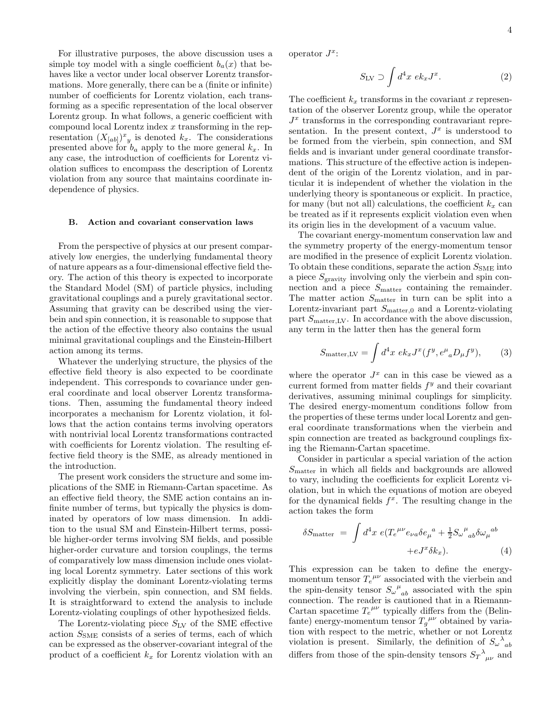For illustrative purposes, the above discussion uses a simple toy model with a single coefficient  $b_a(x)$  that behaves like a vector under local observer Lorentz transformations. More generally, there can be a (finite or infinite) number of coefficients for Lorentz violation, each transforming as a specific representation of the local observer Lorentz group. In what follows, a generic coefficient with compound local Lorentz index x transforming in the representation  $(X_{[ab]})^x$  is denoted  $k_x$ . The considerations presented above for  $b_a$  apply to the more general  $k_x$ . In any case, the introduction of coefficients for Lorentz violation suffices to encompass the description of Lorentz violation from any source that maintains coordinate independence of physics.

#### B. Action and covariant conservation laws

From the perspective of physics at our present comparatively low energies, the underlying fundamental theory of nature appears as a four-dimensional effective field theory. The action of this theory is expected to incorporate the Standard Model (SM) of particle physics, including gravitational couplings and a purely gravitational sector. Assuming that gravity can be described using the vierbein and spin connection, it is reasonable to suppose that the action of the effective theory also contains the usual minimal gravitational couplings and the Einstein-Hilbert action among its terms.

Whatever the underlying structure, the physics of the effective field theory is also expected to be coordinate independent. This corresponds to covariance under general coordinate and local observer Lorentz transformations. Then, assuming the fundamental theory indeed incorporates a mechanism for Lorentz violation, it follows that the action contains terms involving operators with nontrivial local Lorentz transformations contracted with coefficients for Lorentz violation. The resulting effective field theory is the SME, as already mentioned in the introduction.

The present work considers the structure and some implications of the SME in Riemann-Cartan spacetime. As an effective field theory, the SME action contains an infinite number of terms, but typically the physics is dominated by operators of low mass dimension. In addition to the usual SM and Einstein-Hilbert terms, possible higher-order terms involving SM fields, and possible higher-order curvature and torsion couplings, the terms of comparatively low mass dimension include ones violating local Lorentz symmetry. Later sections of this work explicitly display the dominant Lorentz-violating terms involving the vierbein, spin connection, and SM fields. It is straightforward to extend the analysis to include Lorentz-violating couplings of other hypothesized fields.

The Lorentz-violating piece  $S_{\text{LV}}$  of the SME effective action  $S_{\text{SME}}$  consists of a series of terms, each of which can be expressed as the observer-covariant integral of the product of a coefficient  $k_x$  for Lorentz violation with an operator  $J^x$ :

$$
S_{\rm LV} \supset \int d^4x \; ek_x J^x. \tag{2}
$$

The coefficient  $k_x$  transforms in the covariant x representation of the observer Lorentz group, while the operator  $J<sup>x</sup>$  transforms in the corresponding contravariant representation. In the present context,  $J^x$  is understood to be formed from the vierbein, spin connection, and SM fields and is invariant under general coordinate transformations. This structure of the effective action is independent of the origin of the Lorentz violation, and in particular it is independent of whether the violation in the underlying theory is spontaneous or explicit. In practice, for many (but not all) calculations, the coefficient  $k_x$  can be treated as if it represents explicit violation even when its origin lies in the development of a vacuum value.

The covariant energy-momentum conservation law and the symmetry property of the energy-momentum tensor are modified in the presence of explicit Lorentz violation. To obtain these conditions, separate the action  $S_{\text{SME}}$  into a piece  $S_{\text{gravity}}$  involving only the vierbein and spin connection and a piece  $S_{\rm matter}$  containing the remainder. The matter action  $S_{\text{matter}}$  in turn can be split into a Lorentz-invariant part  $S_{\text{matter},0}$  and a Lorentz-violating part  $S_{\text{matter,LV}}$ . In accordance with the above discussion, any term in the latter then has the general form

$$
S_{\text{matter},\text{LV}} = \int d^4x \ e k_x J^x (f^y, e^{\mu}{}_a D_{\mu} f^y), \tag{3}
$$

where the operator  $J^x$  can in this case be viewed as a current formed from matter fields  $f<sup>y</sup>$  and their covariant derivatives, assuming minimal couplings for simplicity. The desired energy-momentum conditions follow from the properties of these terms under local Lorentz and general coordinate transformations when the vierbein and spin connection are treated as background couplings fixing the Riemann-Cartan spacetime.

Consider in particular a special variation of the action Smatter in which all fields and backgrounds are allowed to vary, including the coefficients for explicit Lorentz violation, but in which the equations of motion are obeyed for the dynamical fields  $f^x$ . The resulting change in the action takes the form

$$
\delta S_{\text{matter}} = \int d^4 x \ e(T_e^{\mu\nu} e_{\nu a} \delta e_{\mu}^{\ \ a} + \frac{1}{2} S_{\omega}^{\ \mu}{}_{ab} \delta \omega_{\mu}^{\ \ ab} + \epsilon J^x \delta k_x). \tag{4}
$$

This expression can be taken to define the energymomentum tensor  $T_e^{\ \mu\nu}$  associated with the vierbein and the spin-density tensor  $S_{\omega}^{\ \mu}{}_{ab}$  associated with the spin connection. The reader is cautioned that in a Riemann-Cartan spacetime  $T_e^{\mu\nu}$  typically differs from the (Belinfante) energy-momentum tensor  $T_g^{\ \mu\nu}$  obtained by variation with respect to the metric, whether or not Lorentz violation is present. Similarly, the definition of  $S_{\omega}^{\lambda}{}_{ab}$ differs from those of the spin-density tensors  $S_T{}^{\lambda}{}_{\mu\nu}$  and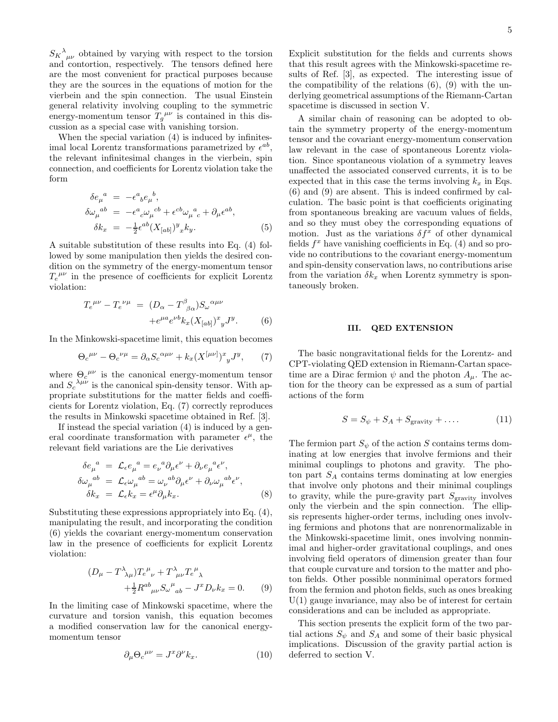$S_K{}^{\lambda}{}_{\mu\nu}$  obtained by varying with respect to the torsion and contortion, respectively. The tensors defined here are the most convenient for practical purposes because they are the sources in the equations of motion for the vierbein and the spin connection. The usual Einstein general relativity involving coupling to the symmetric energy-momentum tensor  $T_g^{\mu\nu}$  is contained in this discussion as a special case with vanishing torsion.

When the special variation  $(4)$  is induced by infinitesimal local Lorentz transformations parametrized by  $\epsilon^{ab}$ , the relevant infinitesimal changes in the vierbein, spin connection, and coefficients for Lorentz violation take the form

$$
\delta e_{\mu}^{a} = -\epsilon^{a}{}_{b}e_{\mu}^{b},
$$
  
\n
$$
\delta \omega_{\mu}^{ab} = -\epsilon^{a}{}_{c} \omega_{\mu}^{cb} + \epsilon^{cb} \omega_{\mu}^{a}{}_{c} + \partial_{\mu} \epsilon^{ab},
$$
  
\n
$$
\delta k_{x} = -\frac{1}{2} \epsilon^{ab} (X_{[ab]})^{y}{}_{x} k_{y}.
$$
\n(5)

A suitable substitution of these results into Eq. (4) followed by some manipulation then yields the desired condition on the symmetry of the energy-momentum tensor  $T_e^{\mu\nu}$  in the presence of coefficients for explicit Lorentz violation:

$$
T_e^{\mu\nu} - T_e^{\nu\mu} = (D_\alpha - T^\beta_{\ \beta\alpha}) S_\omega^{\ \alpha\mu\nu}
$$

$$
+ e^{\mu a} e^{\nu b} k_x (X_{[ab]})^x{}_y J^y. \tag{6}
$$

In the Minkowski-spacetime limit, this equation becomes

$$
\Theta_c^{\mu\nu} - \Theta_c^{\nu\mu} = \partial_\alpha S_c^{\ \alpha\mu\nu} + k_x (X^{[\mu\nu]})^x{}_y J^y,\tag{7}
$$

where  $\Theta_c^{\mu\nu}$  is the canonical energy-momentum tensor and  $S_c^{\lambda\mu\nu}$  is the canonical spin-density tensor. With appropriate substitutions for the matter fields and coefficients for Lorentz violation, Eq. (7) correctly reproduces the results in Minkowski spacetime obtained in Ref. [3].

If instead the special variation (4) is induced by a general coordinate transformation with parameter  $\epsilon^{\mu}$ , the relevant field variations are the Lie derivatives

$$
\delta e_{\mu}^{a} = \mathcal{L}_{\epsilon} e_{\mu}^{a} = e_{\nu}^{a} \partial_{\mu} \epsilon^{\nu} + \partial_{\nu} e_{\mu}^{a} \epsilon^{\nu},
$$
  
\n
$$
\delta \omega_{\mu}^{ab} = \mathcal{L}_{\epsilon} \omega_{\mu}^{ab} = \omega_{\nu}^{ab} \partial_{\mu} \epsilon^{\nu} + \partial_{\nu} \omega_{\mu}^{ab} \epsilon^{\nu},
$$
  
\n
$$
\delta k_{x} = \mathcal{L}_{\epsilon} k_{x} = \epsilon^{\mu} \partial_{\mu} k_{x}.
$$
\n(8)

Substituting these expressions appropriately into Eq. (4), manipulating the result, and incorporating the condition (6) yields the covariant energy-momentum conservation law in the presence of coefficients for explicit Lorentz violation:

$$
(D_{\mu} - T^{\lambda}_{\lambda\mu})T_{e^{\mu}_{\ \nu}} + T^{\lambda}_{\ \mu\nu}T_{e^{\mu}_{\ \lambda}} + \frac{1}{2}R^{ab}_{\ \mu\nu}S_{\omega^{\mu}_{\ \ ab}} - J^{x}D_{\nu}k_{x} = 0. \tag{9}
$$

In the limiting case of Minkowski spacetime, where the curvature and torsion vanish, this equation becomes a modified conservation law for the canonical energymomentum tensor

$$
\partial_{\mu} \Theta_c^{\ \mu\nu} = J^x \partial^{\nu} k_x. \tag{10}
$$

Explicit substitution for the fields and currents shows that this result agrees with the Minkowski-spacetime results of Ref. [3], as expected. The interesting issue of the compatibility of the relations (6), (9) with the underlying geometrical assumptions of the Riemann-Cartan spacetime is discussed in section V.

A similar chain of reasoning can be adopted to obtain the symmetry property of the energy-momentum tensor and the covariant energy-momentum conservation law relevant in the case of spontaneous Lorentz violation. Since spontaneous violation of a symmetry leaves unaffected the associated conserved currents, it is to be expected that in this case the terms involving  $k_x$  in Eqs. (6) and (9) are absent. This is indeed confirmed by calculation. The basic point is that coefficients originating from spontaneous breaking are vacuum values of fields, and so they must obey the corresponding equations of motion. Just as the variations  $\delta f^x$  of other dynamical fields  $f^x$  have vanishing coefficients in Eq. (4) and so provide no contributions to the covariant energy-momentum and spin-density conservation laws, no contributions arise from the variation  $\delta k_x$  when Lorentz symmetry is spontaneously broken.

#### III. QED EXTENSION

The basic nongravitational fields for the Lorentz- and CPT-violating QED extension in Riemann-Cartan spacetime are a Dirac fermion  $\psi$  and the photon  $A_\mu$ . The action for the theory can be expressed as a sum of partial actions of the form

$$
S = S_{\psi} + S_A + S_{\text{gravity}} + \dots \tag{11}
$$

The fermion part  $S_{\psi}$  of the action S contains terms dominating at low energies that involve fermions and their minimal couplings to photons and gravity. The photon part  $S_A$  contains terms dominating at low energies that involve only photons and their minimal couplings to gravity, while the pure-gravity part  $S_{\text{gravity}}$  involves only the vierbein and the spin connection. The ellipsis represents higher-order terms, including ones involving fermions and photons that are nonrenormalizable in the Minkowski-spacetime limit, ones involving nonminimal and higher-order gravitational couplings, and ones involving field operators of dimension greater than four that couple curvature and torsion to the matter and photon fields. Other possible nonminimal operators formed from the fermion and photon fields, such as ones breaking  $U(1)$  gauge invariance, may also be of interest for certain considerations and can be included as appropriate.

This section presents the explicit form of the two partial actions  $S_{\psi}$  and  $S_A$  and some of their basic physical implications. Discussion of the gravity partial action is deferred to section V.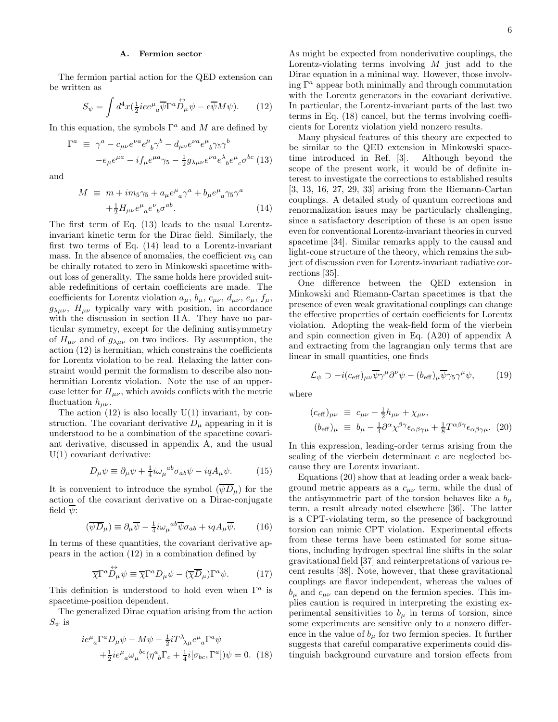#### A. Fermion sector

The fermion partial action for the QED extension can be written as

$$
S_{\psi} = \int d^4x \left(\frac{1}{2} iee^{\mu}{}_a \overline{\psi} \Gamma^a \overleftrightarrow{D}_{\mu} \psi - e \overline{\psi} M \psi\right). \tag{12}
$$

In this equation, the symbols  $\Gamma^a$  and M are defined by

$$
\Gamma^{a} \equiv \gamma^{a} - c_{\mu\nu} e^{\nu a} e^{\mu}{}_{b} \gamma^{b} - d_{\mu\nu} e^{\nu a} e^{\mu}{}_{b} \gamma_{5} \gamma^{b}
$$

$$
-e_{\mu} e^{\mu a} - if_{\mu} e^{\mu a} \gamma_{5} - \frac{1}{2} g_{\lambda\mu\nu} e^{\nu a} e^{\lambda}{}_{b} e^{\mu}{}_{c} \sigma^{bc} (13)
$$

and

$$
M \equiv m + im_5 \gamma_5 + a_\mu e^\mu{}_a \gamma^a + b_\mu e^\mu{}_a \gamma_5 \gamma^a
$$

$$
+ \frac{1}{2} H_{\mu\nu} e^\mu{}_a e^\nu{}_b \sigma^{ab}.
$$
 (14)

The first term of Eq. (13) leads to the usual Lorentzinvariant kinetic term for the Dirac field. Similarly, the first two terms of Eq. (14) lead to a Lorentz-invariant mass. In the absence of anomalies, the coefficient  $m_5$  can be chirally rotated to zero in Minkowski spacetime without loss of generality. The same holds here provided suitable redefinitions of certain coefficients are made. The coefficients for Lorentz violation  $a_{\mu}$ ,  $b_{\mu}$ ,  $c_{\mu\nu}$ ,  $d_{\mu\nu}$ ,  $e_{\mu}$ ,  $f_{\mu}$ ,  $g_{\lambda\mu\nu}$ ,  $H_{\mu\nu}$  typically vary with position, in accordance with the discussion in section II A. They have no particular symmetry, except for the defining antisymmetry of  $H_{\mu\nu}$  and of  $g_{\lambda\mu\nu}$  on two indices. By assumption, the action (12) is hermitian, which constrains the coefficients for Lorentz violation to be real. Relaxing the latter constraint would permit the formalism to describe also nonhermitian Lorentz violation. Note the use of an uppercase letter for  $H_{\mu\nu}$ , which avoids conflicts with the metric fluctuation  $h_{\mu\nu}$ .

The action  $(12)$  is also locally  $U(1)$  invariant, by construction. The covariant derivative  $D_{\mu}$  appearing in it is understood to be a combination of the spacetime covariant derivative, discussed in appendix A, and the usual  $U(1)$  covariant derivative:

$$
D_{\mu}\psi \equiv \partial_{\mu}\psi + \frac{1}{4}i\omega_{\mu}{}^{ab}\sigma_{ab}\psi - iqA_{\mu}\psi. \tag{15}
$$

It is convenient to introduce the symbol  $(\overline{\psi}\overline{D}_{\mu})$  for the action of the covariant derivative on a Dirac-conjugate field  $\psi$ :

$$
(\overline{\psi D}_{\mu}) \equiv \partial_{\mu} \overline{\psi} - \frac{1}{4} i \omega_{\mu}{}^{ab} \overline{\psi} \sigma_{ab} + i q A_{\mu} \overline{\psi}.
$$
 (16)

In terms of these quantities, the covariant derivative appears in the action (12) in a combination defined by

$$
\overline{\chi}\Gamma^{a}\overleftrightarrow{D}_{\mu}\psi \equiv \overline{\chi}\Gamma^{a}D_{\mu}\psi - (\overline{\chi}\overline{D}_{\mu})\Gamma^{a}\psi.
$$
 (17)

This definition is understood to hold even when  $\Gamma^a$  is spacetime-position dependent.

The generalized Dirac equation arising from the action  $S_{\psi}$  is

$$
ie^{\mu}_{\ a}\Gamma^{a}D_{\mu}\psi - M\psi - \frac{1}{2}i\Gamma^{\lambda}_{\ \lambda\mu}e^{\mu}_{\ a}\Gamma^{a}\psi
$$

$$
+\frac{1}{2}ie^{\mu}_{\ a}\omega_{\mu}{}^{bc}(\eta^{a}_{\ b}\Gamma_{c} + \frac{1}{4}i[\sigma_{bc},\Gamma^{a}])\psi = 0. \tag{18}
$$

As might be expected from nonderivative couplings, the Lorentz-violating terms involving  $M$  just add to the Dirac equation in a minimal way. However, those involving  $\Gamma^a$  appear both minimally and through commutation with the Lorentz generators in the covariant derivative. In particular, the Lorentz-invariant parts of the last two terms in Eq. (18) cancel, but the terms involving coefficients for Lorentz violation yield nonzero results.

Many physical features of this theory are expected to be similar to the QED extension in Minkowski spacetime introduced in Ref. [3]. Although beyond the scope of the present work, it would be of definite interest to investigate the corrections to established results [3, 13, 16, 27, 29, 33] arising from the Riemann-Cartan couplings. A detailed study of quantum corrections and renormalization issues may be particularly challenging, since a satisfactory description of these is an open issue even for conventional Lorentz-invariant theories in curved spacetime [34]. Similar remarks apply to the causal and light-cone structure of the theory, which remains the subject of discussion even for Lorentz-invariant radiative corrections [35].

One difference between the QED extension in Minkowski and Riemann-Cartan spacetimes is that the presence of even weak gravitational couplings can change the effective properties of certain coefficients for Lorentz violation. Adopting the weak-field form of the vierbein and spin connection given in Eq. (A20) of appendix A and extracting from the lagrangian only terms that are linear in small quantities, one finds

$$
\mathcal{L}_{\psi} \supset -i(c_{\text{eff}})_{\mu\nu} \overline{\psi} \gamma^{\mu} \partial^{\nu} \psi - (b_{\text{eff}})_{\mu} \overline{\psi} \gamma_5 \gamma^{\mu} \psi, \qquad (19)
$$

where

$$
(c_{\text{eff}})_{\mu\nu} \equiv c_{\mu\nu} - \frac{1}{2}h_{\mu\nu} + \chi_{\mu\nu},
$$
  

$$
(b_{\text{eff}})_{\mu} \equiv b_{\mu} - \frac{1}{4}\partial^{\alpha}\chi^{\beta\gamma}\epsilon_{\alpha\beta\gamma\mu} + \frac{1}{8}T^{\alpha\beta\gamma}\epsilon_{\alpha\beta\gamma\mu}.
$$
 (20)

In this expression, leading-order terms arising from the scaling of the vierbein determinant e are neglected because they are Lorentz invariant.

Equations (20) show that at leading order a weak background metric appears as a  $c_{\mu\nu}$  term, while the dual of the antisymmetric part of the torsion behaves like a  $b_{\mu}$ term, a result already noted elsewhere [36]. The latter is a CPT-violating term, so the presence of background torsion can mimic CPT violation. Experimental effects from these terms have been estimated for some situations, including hydrogen spectral line shifts in the solar gravitational field [37] and reinterpretations of various recent results [38]. Note, however, that these gravitational couplings are flavor independent, whereas the values of  $b_{\mu}$  and  $c_{\mu\nu}$  can depend on the fermion species. This implies caution is required in interpreting the existing experimental sensitivities to  $b<sub>\mu</sub>$  in terms of torsion, since some experiments are sensitive only to a nonzero difference in the value of  $b_{\mu}$  for two fermion species. It further suggests that careful comparative experiments could distinguish background curvature and torsion effects from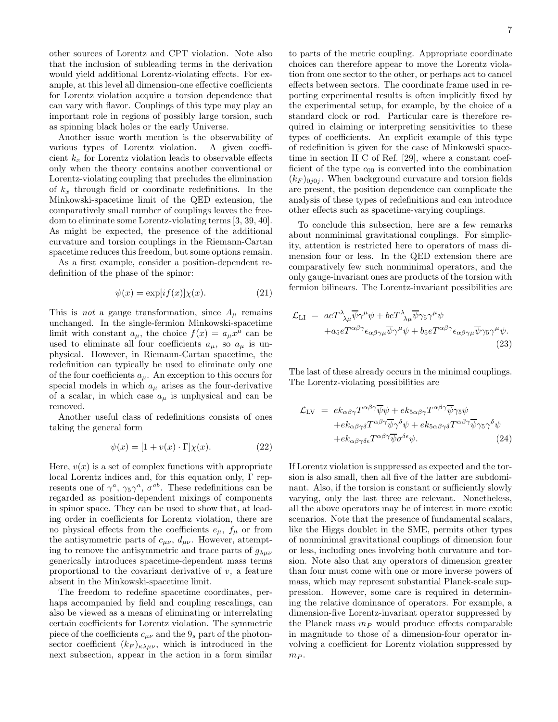other sources of Lorentz and CPT violation. Note also that the inclusion of subleading terms in the derivation would yield additional Lorentz-violating effects. For example, at this level all dimension-one effective coefficients for Lorentz violation acquire a torsion dependence that can vary with flavor. Couplings of this type may play an important role in regions of possibly large torsion, such as spinning black holes or the early Universe.

Another issue worth mention is the observability of various types of Lorentz violation. A given coefficient  $k_x$  for Lorentz violation leads to observable effects only when the theory contains another conventional or Lorentz-violating coupling that precludes the elimination of  $k_x$  through field or coordinate redefinitions. In the Minkowski-spacetime limit of the QED extension, the comparatively small number of couplings leaves the freedom to eliminate some Lorentz-violating terms [3, 39, 40]. As might be expected, the presence of the additional curvature and torsion couplings in the Riemann-Cartan spacetime reduces this freedom, but some options remain.

As a first example, consider a position-dependent redefinition of the phase of the spinor:

$$
\psi(x) = \exp[i f(x)] \chi(x). \tag{21}
$$

This is *not* a gauge transformation, since  $A_{\mu}$  remains unchanged. In the single-fermion Minkowski-spacetime limit with constant  $a_{\mu}$ , the choice  $f(x) = a_{\mu}x^{\mu}$  can be used to eliminate all four coefficients  $a_{\mu}$ , so  $a_{\mu}$  is unphysical. However, in Riemann-Cartan spacetime, the redefinition can typically be used to eliminate only one of the four coefficients  $a_{\mu}$ . An exception to this occurs for special models in which  $a_{\mu}$  arises as the four-derivative of a scalar, in which case  $a_{\mu}$  is unphysical and can be removed.

Another useful class of redefinitions consists of ones taking the general form

$$
\psi(x) = [1 + v(x) \cdot \Gamma] \chi(x). \tag{22}
$$

Here,  $v(x)$  is a set of complex functions with appropriate local Lorentz indices and, for this equation only, Γ represents one of  $\gamma^a$ ,  $\gamma_5 \gamma^a$ ,  $\sigma^{ab}$ . These redefinitions can be regarded as position-dependent mixings of components in spinor space. They can be used to show that, at leading order in coefficients for Lorentz violation, there are no physical effects from the coefficients  $e_{\mu}$ ,  $f_{\mu}$  or from the antisymmetric parts of  $c_{\mu\nu}$ ,  $d_{\mu\nu}$ . However, attempting to remove the antisymmetric and trace parts of  $q_{\lambda\mu\nu}$ generically introduces spacetime-dependent mass terms proportional to the covariant derivative of  $v$ , a feature absent in the Minkowski-spacetime limit.

The freedom to redefine spacetime coordinates, perhaps accompanied by field and coupling rescalings, can also be viewed as a means of eliminating or interrelating certain coefficients for Lorentz violation. The symmetric piece of the coefficients  $c_{\mu\nu}$  and the  $9_s$  part of the photonsector coefficient  $(k_F)_{\kappa\lambda\mu\nu}$ , which is introduced in the next subsection, appear in the action in a form similar

to parts of the metric coupling. Appropriate coordinate choices can therefore appear to move the Lorentz violation from one sector to the other, or perhaps act to cancel effects between sectors. The coordinate frame used in reporting experimental results is often implicitly fixed by the experimental setup, for example, by the choice of a standard clock or rod. Particular care is therefore required in claiming or interpreting sensitivities to these types of coefficients. An explicit example of this type of redefinition is given for the case of Minkowski spacetime in section II C of Ref. [29], where a constant coefficient of the type  $c_{00}$  is converted into the combination  $(k_F)_{0i0j}$ . When background curvature and torsion fields are present, the position dependence can complicate the analysis of these types of redefinitions and can introduce other effects such as spacetime-varying couplings.

To conclude this subsection, here are a few remarks about nonminimal gravitational couplings. For simplicity, attention is restricted here to operators of mass dimension four or less. In the QED extension there are comparatively few such nonminimal operators, and the only gauge-invariant ones are products of the torsion with fermion bilinears. The Lorentz-invariant possibilities are

$$
\mathcal{L}_{\text{LI}} = a e T^{\lambda}_{\lambda \mu} \overline{\psi} \gamma^{\mu} \psi + b e T^{\lambda}_{\lambda \mu} \overline{\psi} \gamma_5 \gamma^{\mu} \psi \n+ a_5 e T^{\alpha \beta \gamma} \epsilon_{\alpha \beta \gamma \mu} \overline{\psi} \gamma^{\mu} \psi + b_5 e T^{\alpha \beta \gamma} \epsilon_{\alpha \beta \gamma \mu} \overline{\psi} \gamma_5 \gamma^{\mu} \psi.
$$
\n(23)

The last of these already occurs in the minimal couplings. The Lorentz-violating possibilities are

$$
\mathcal{L}_{\text{LV}} = e k_{\alpha\beta\gamma} T^{\alpha\beta\gamma} \overline{\psi} \psi + e k_{5\alpha\beta\gamma} T^{\alpha\beta\gamma} \overline{\psi} \gamma_5 \psi \n+ e k_{\alpha\beta\gamma\delta} T^{\alpha\beta\gamma} \overline{\psi} \gamma^{\delta} \psi + e k_{5\alpha\beta\gamma\delta} T^{\alpha\beta\gamma} \overline{\psi} \gamma_5 \gamma^{\delta} \psi \n+ e k_{\alpha\beta\gamma\delta\epsilon} T^{\alpha\beta\gamma} \overline{\psi} \sigma^{\delta\epsilon} \psi.
$$
\n(24)

If Lorentz violation is suppressed as expected and the torsion is also small, then all five of the latter are subdominant. Also, if the torsion is constant or sufficiently slowly varying, only the last three are relevant. Nonetheless, all the above operators may be of interest in more exotic scenarios. Note that the presence of fundamental scalars, like the Higgs doublet in the SME, permits other types of nonminimal gravitational couplings of dimension four or less, including ones involving both curvature and torsion. Note also that any operators of dimension greater than four must come with one or more inverse powers of mass, which may represent substantial Planck-scale suppression. However, some care is required in determining the relative dominance of operators. For example, a dimension-five Lorentz-invariant operator suppressed by the Planck mass  $m_P$  would produce effects comparable in magnitude to those of a dimension-four operator involving a coefficient for Lorentz violation suppressed by  $m_{P}$ .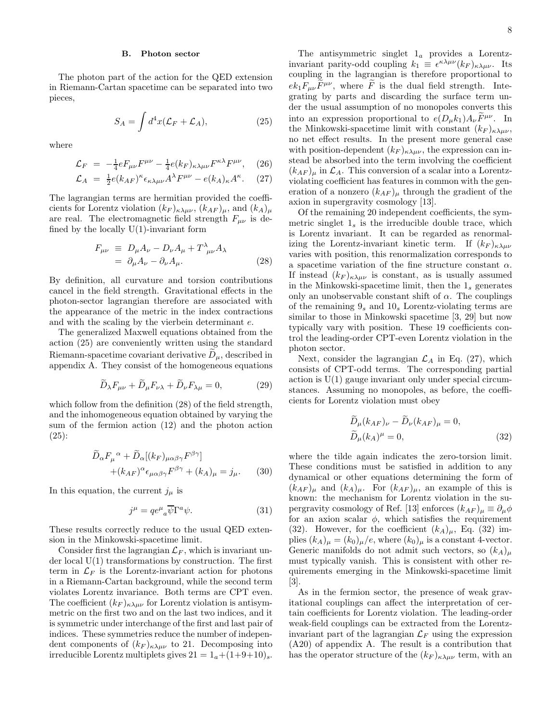#### B. Photon sector

The photon part of the action for the QED extension in Riemann-Cartan spacetime can be separated into two pieces,

$$
S_A = \int d^4x (\mathcal{L}_F + \mathcal{L}_A), \tag{25}
$$

where

$$
\mathcal{L}_F = -\frac{1}{4} e F_{\mu\nu} F^{\mu\nu} - \frac{1}{4} e(k_F)_{\kappa\lambda\mu\nu} F^{\kappa\lambda} F^{\mu\nu}, \quad (26)
$$

$$
\mathcal{L}_A = \frac{1}{2} e(k_{AF})^\kappa \epsilon_{\kappa \lambda \mu \nu} A^\lambda F^{\mu \nu} - e(k_A)_\kappa A^\kappa. \quad (27)
$$

The lagrangian terms are hermitian provided the coefficients for Lorentz violation  $(k_F)_{\kappa\lambda\mu\nu}$ ,  $(k_{AF})_{\mu}$ , and  $(k_A)_{\mu}$ are real. The electromagnetic field strength  $F_{\mu\nu}$  is defined by the locally  $U(1)$ -invariant form

$$
F_{\mu\nu} \equiv D_{\mu}A_{\nu} - D_{\nu}A_{\mu} + T^{\lambda}_{\mu\nu}A_{\lambda}
$$
  
=  $\partial_{\mu}A_{\nu} - \partial_{\nu}A_{\mu}$ . (28)

By definition, all curvature and torsion contributions cancel in the field strength. Gravitational effects in the photon-sector lagrangian therefore are associated with the appearance of the metric in the index contractions and with the scaling by the vierbein determinant e.

The generalized Maxwell equations obtained from the action (25) are conveniently written using the standard Riemann-spacetime covariant derivative  $D_{\mu}$ , described in appendix A. They consist of the homogeneous equations

$$
\widetilde{D}_{\lambda}F_{\mu\nu} + \widetilde{D}_{\mu}F_{\nu\lambda} + \widetilde{D}_{\nu}F_{\lambda\mu} = 0, \qquad (29)
$$

which follow from the definition (28) of the field strength, and the inhomogeneous equation obtained by varying the sum of the fermion action (12) and the photon action (25):

$$
\widetilde{D}_{\alpha}F_{\mu}{}^{\alpha} + \widetilde{D}_{\alpha}[(k_F)_{\mu\alpha\beta\gamma}F^{\beta\gamma}] + (k_{AF})^{\alpha}\epsilon_{\mu\alpha\beta\gamma}F^{\beta\gamma} + (k_A)_{\mu} = j_{\mu}.
$$
 (30)

In this equation, the current  $j_{\mu}$  is

$$
j^{\mu} = q e^{\mu}{}_a \overline{\psi} \Gamma^a \psi. \tag{31}
$$

These results correctly reduce to the usual QED extension in the Minkowski-spacetime limit.

Consider first the lagrangian  $\mathcal{L}_F$ , which is invariant under local  $U(1)$  transformations by construction. The first term in  $\mathcal{L}_F$  is the Lorentz-invariant action for photons in a Riemann-Cartan background, while the second term violates Lorentz invariance. Both terms are CPT even. The coefficient  $(k_F)_{\kappa\lambda\mu\nu}$  for Lorentz violation is antisymmetric on the first two and on the last two indices, and it is symmetric under interchange of the first and last pair of indices. These symmetries reduce the number of independent components of  $(k_F)_{\kappa\lambda\mu\nu}$  to 21. Decomposing into irreducible Lorentz multiplets gives  $21 = 1_a + (1+9+10)_s$ .

The antisymmetric singlet  $1_a$  provides a Lorentzinvariant parity-odd coupling  $k_1 \equiv \epsilon^{\kappa \lambda \mu \nu} (k_F)_{\kappa \lambda \mu \nu}$ . Its coupling in the lagrangian is therefore proportional to  $ek_1F_{\mu\nu}\widetilde{F}^{\mu\nu}$ , where  $\widetilde{F}$  is the dual field strength. Integrating by parts and discarding the surface term under the usual assumption of no monopoles converts this into an expression proportional to  $e(D_\mu k_1)A_\nu F^{\mu\nu}$ . In the Minkowski-spacetime limit with constant  $(k_F)_{\kappa\lambda\mu\nu}$ , no net effect results. In the present more general case with position-dependent  $(k_F)_{\kappa\lambda\mu\nu}$ , the expression can instead be absorbed into the term involving the coefficient  $(k_{AF})_{\mu}$  in  $\mathcal{L}_A$ . This conversion of a scalar into a Lorentzviolating coefficient has features in common with the generation of a nonzero  $(k_{AF})_{\mu}$  through the gradient of the axion in supergravity cosmology [13].

Of the remaining 20 independent coefficients, the symmetric singlet  $1<sub>s</sub>$  is the irreducible double trace, which is Lorentz invariant. It can be regarded as renormalizing the Lorentz-invariant kinetic term. If  $(k_F)_{\kappa\lambda\mu\nu}$ varies with position, this renormalization corresponds to a spacetime variation of the fine structure constant  $\alpha$ . If instead  $(k_F)_{\kappa\lambda\mu\nu}$  is constant, as is usually assumed in the Minkowski-spacetime limit, then the  $1<sub>s</sub>$  generates only an unobservable constant shift of  $\alpha$ . The couplings of the remaining  $9_s$  and  $10_s$  Lorentz-violating terms are similar to those in Minkowski spacetime [3, 29] but now typically vary with position. These 19 coefficients control the leading-order CPT-even Lorentz violation in the photon sector.

Next, consider the lagrangian  $\mathcal{L}_A$  in Eq. (27), which consists of CPT-odd terms. The corresponding partial action is U(1) gauge invariant only under special circumstances. Assuming no monopoles, as before, the coefficients for Lorentz violation must obey

$$
\widetilde{D}_{\mu}(k_{AF})_{\nu} - \widetilde{D}_{\nu}(k_{AF})_{\mu} = 0,
$$
\n
$$
\widetilde{D}_{\mu}(k_{A})^{\mu} = 0,
$$
\n(32)

where the tilde again indicates the zero-torsion limit. These conditions must be satisfied in addition to any dynamical or other equations determining the form of  $(k_{AF})_{\mu}$  and  $(k_A)_{\mu}$ . For  $(k_{AF})_{\mu}$ , an example of this is known: the mechanism for Lorentz violation in the supergravity cosmology of Ref. [13] enforces  $(k_{AF})_{\mu} \equiv \partial_{\mu} \phi$ for an axion scalar  $\phi$ , which satisfies the requirement (32). However, for the coefficient  $(k_A)_{\mu}$ , Eq. (32) implies  $(k_A)_{\mu} = (k_0)_{\mu}/e$ , where  $(k_0)_{\mu}$  is a constant 4-vector. Generic manifolds do not admit such vectors, so  $(k_A)_{\mu}$ must typically vanish. This is consistent with other requirements emerging in the Minkowski-spacetime limit [3].

As in the fermion sector, the presence of weak gravitational couplings can affect the interpretation of certain coefficients for Lorentz violation. The leading-order weak-field couplings can be extracted from the Lorentzinvariant part of the lagrangian  $\mathcal{L}_F$  using the expression (A20) of appendix A. The result is a contribution that has the operator structure of the  $(k_F)_{\kappa\lambda\mu\nu}$  term, with an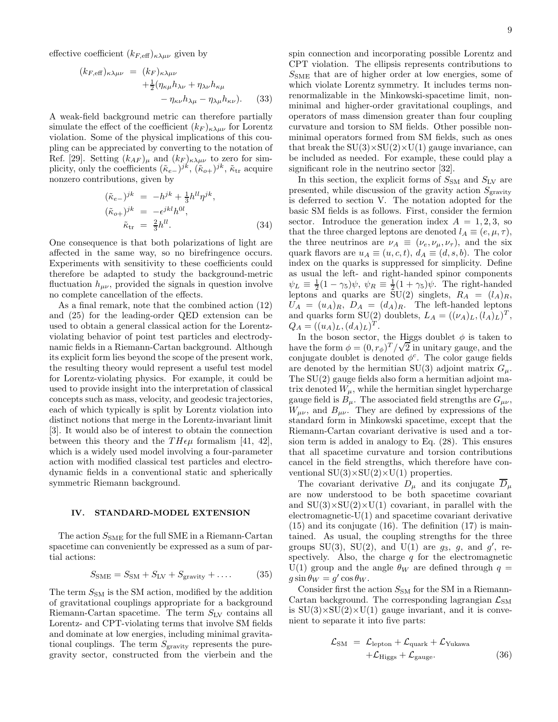effective coefficient  $(k_{F,\text{eff}})_{\kappa\lambda\mu\nu}$  given by

$$
(k_{F,\text{eff}})_{\kappa\lambda\mu\nu} = (k_F)_{\kappa\lambda\mu\nu} +\frac{1}{2}(\eta_{\kappa\mu}h_{\lambda\nu} + \eta_{\lambda\nu}h_{\kappa\mu}) -\eta_{\kappa\nu}h_{\lambda\mu} - \eta_{\lambda\mu}h_{\kappa\nu}).
$$
 (33)

A weak-field background metric can therefore partially simulate the effect of the coefficient  $(k_F)_{\kappa\lambda\mu\nu}$  for Lorentz violation. Some of the physical implications of this coupling can be appreciated by converting to the notation of Ref. [29]. Setting  $(k_{AF})_{\mu}$  and  $(k_F)_{\kappa\lambda\mu\nu}$  to zero for simplicity, only the coefficients  $(\tilde{\kappa}_{e-})^{jk}$ ,  $(\tilde{\kappa}_{o+})^{jk}$ ,  $\tilde{\kappa}_{tr}$  acquire nonzero contributions, given by

$$
(\tilde{\kappa}_{e-})^{jk} = -h^{jk} + \frac{1}{3}h^{ll}\eta^{jk},
$$
  
\n
$$
(\tilde{\kappa}_{o+})^{jk} = -\epsilon^{jkl}h^{0l},
$$
  
\n
$$
\tilde{\kappa}_{tr} = \frac{2}{3}h^{ll}.
$$
\n(34)

One consequence is that both polarizations of light are affected in the same way, so no birefringence occurs. Experiments with sensitivity to these coefficients could therefore be adapted to study the background-metric fluctuation  $h_{\mu\nu}$ , provided the signals in question involve no complete cancellation of the effects.

As a final remark, note that the combined action (12) and (25) for the leading-order QED extension can be used to obtain a general classical action for the Lorentzviolating behavior of point test particles and electrodynamic fields in a Riemann-Cartan background. Although its explicit form lies beyond the scope of the present work, the resulting theory would represent a useful test model for Lorentz-violating physics. For example, it could be used to provide insight into the interpretation of classical concepts such as mass, velocity, and geodesic trajectories, each of which typically is split by Lorentz violation into distinct notions that merge in the Lorentz-invariant limit [3]. It would also be of interest to obtain the connection between this theory and the  $TH\epsilon\mu$  formalism [41, 42], which is a widely used model involving a four-parameter action with modified classical test particles and electrodynamic fields in a conventional static and spherically symmetric Riemann background.

#### IV. STANDARD-MODEL EXTENSION

The action  $S_{\text{SME}}$  for the full SME in a Riemann-Cartan spacetime can conveniently be expressed as a sum of partial actions:

$$
S_{\text{SME}} = S_{\text{SM}} + S_{\text{LV}} + S_{\text{gravity}} + \dots \tag{35}
$$

The term  $S_{\text{SM}}$  is the SM action, modified by the addition of gravitational couplings appropriate for a background Riemann-Cartan spacetime. The term  $S_{\text{LV}}$  contains all Lorentz- and CPT-violating terms that involve SM fields and dominate at low energies, including minimal gravitational couplings. The term  $S_{\text{gravity}}$  represents the puregravity sector, constructed from the vierbein and the spin connection and incorporating possible Lorentz and CPT violation. The ellipsis represents contributions to  $S_{\text{SME}}$  that are of higher order at low energies, some of which violate Lorentz symmetry. It includes terms nonrenormalizable in the Minkowski-spacetime limit, nonminimal and higher-order gravitational couplings, and operators of mass dimension greater than four coupling curvature and torsion to SM fields. Other possible nonminimal operators formed from SM fields, such as ones that break the  $SU(3)\times SU(2)\times U(1)$  gauge invariance, can be included as needed. For example, these could play a significant role in the neutrino sector [32].

In this section, the explicit forms of  $S_{SM}$  and  $S_{LV}$  are presented, while discussion of the gravity action  $S_{\text{gravity}}$ is deferred to section V. The notation adopted for the basic SM fields is as follows. First, consider the fermion sector. Introduce the generation index  $A = 1, 2, 3$ , so that the three charged leptons are denoted  $l_A \equiv (e, \mu, \tau)$ , the three neutrinos are  $\nu_A \equiv (\nu_e, \nu_\mu, \nu_\tau)$ , and the six quark flavors are  $u_A \equiv (u, c, t), d_A \equiv (d, s, b)$ . The color index on the quarks is suppressed for simplicity. Define as usual the left- and right-handed spinor components  $\psi_L \equiv \frac{1}{2}(1-\gamma_5)\psi$ ,  $\psi_R \equiv \frac{1}{2}(1+\gamma_5)\psi$ . The right-handed leptons and quarks are  $\overline{\text{SU}}(2)$  singlets,  $R_A = (l_A)_R$ ,  $U_A = (u_A)_R$ ,  $D_A = (d_A)_R$ . The left-handed leptons and quarks form SU(2) doublets,  $L_A = ((\nu_A)_L, (l_A)_L)^T$ ,  $Q_A = ((u_A)_L, (d_A)_L)^T$ .

In the boson sector, the Higgs doublet  $\phi$  is taken to have the form  $\phi = (0, r_{\phi})^T / \sqrt{2}$  in unitary gauge, and the conjugate doublet is denoted  $\phi^c$ . The color gauge fields are denoted by the hermitian SU(3) adjoint matrix  $G_{\mu}$ . The SU(2) gauge fields also form a hermitian adjoint matrix denoted  $W_{\mu}$ , while the hermitian singlet hypercharge gauge field is  $B_{\mu}$ . The associated field strengths are  $G_{\mu\nu}$ ,  $W_{\mu\nu}$ , and  $B_{\mu\nu}$ . They are defined by expressions of the standard form in Minkowski spacetime, except that the Riemann-Cartan covariant derivative is used and a torsion term is added in analogy to Eq. (28). This ensures that all spacetime curvature and torsion contributions cancel in the field strengths, which therefore have conventional  $SU(3)\times SU(2)\times U(1)$  properties.

The covariant derivative  $D_{\mu}$  and its conjugate  $\overline{D}_{\mu}$ are now understood to be both spacetime covariant and  $SU(3) \times SU(2) \times U(1)$  covariant, in parallel with the electromagnetic- $U(1)$  and spacetime covariant derivative  $(15)$  and its conjugate  $(16)$ . The definition  $(17)$  is maintained. As usual, the coupling strengths for the three groups SU(3), SU(2), and U(1) are  $g_3$ ,  $g$ , and  $g'$ , respectively. Also, the charge  $q$  for the electromagnetic U(1) group and the angle  $\theta_W$  are defined through  $q =$  $g \sin \theta_W = g' \cos \theta_W.$ 

Consider first the action  $S_{SM}$  for the SM in a Riemann-Cartan background. The corresponding lagrangian  $\mathcal{L}_{SM}$ is  $SU(3)\times SU(2)\times U(1)$  gauge invariant, and it is convenient to separate it into five parts:

$$
\mathcal{L}_{\rm SM} = \mathcal{L}_{\rm lepton} + \mathcal{L}_{\rm quark} + \mathcal{L}_{\rm Yukawa} \n+ \mathcal{L}_{\rm Higgs} + \mathcal{L}_{\rm gauge}.
$$
\n(36)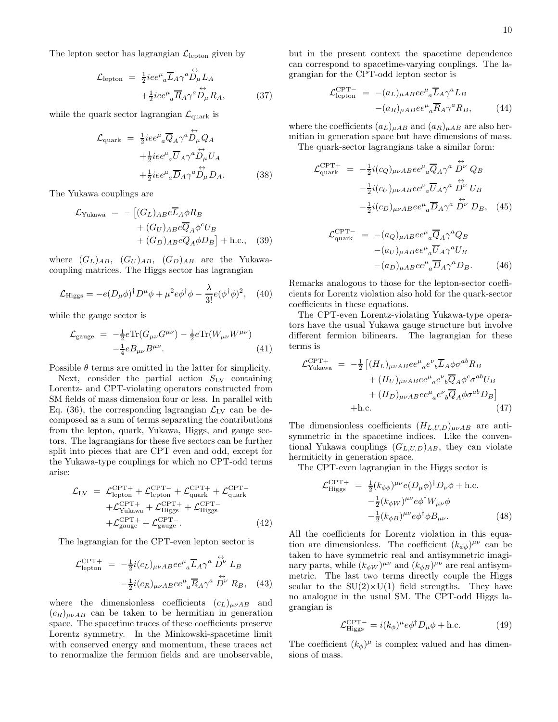The lepton sector has lagrangian  $\mathcal{L}_{\text{lepton}}$  given by

$$
\mathcal{L}_{\text{lepton}} = \frac{1}{2} i e e^{\mu} {}_{a} \overline{L}_{A} \gamma^{a} \overset{\leftrightarrow}{D}_{\mu} L_{A} + \frac{1}{2} i e e^{\mu} {}_{a} \overline{R}_{A} \gamma^{a} \overset{\leftrightarrow}{D}_{\mu} R_{A}, \qquad (37)
$$

while the quark sector lagrangian  $\mathcal{L}_{\text{quark}}$  is

$$
\mathcal{L}_{\text{quark}} = \frac{1}{2} i e e^{\mu}{}_{a} \overline{Q}_{A} \gamma^{a} \overset{\leftrightarrow}{D}_{\mu} Q_{A} \n+ \frac{1}{2} i e e^{\mu}{}_{a} \overline{U}_{A} \gamma^{a} \overset{\leftrightarrow}{D}_{\mu} U_{A} \n+ \frac{1}{2} i e e^{\mu}{}_{a} \overline{D}_{A} \gamma^{a} \overset{\leftrightarrow}{D}_{\mu} D_{A}.
$$
\n(38)

The Yukawa couplings are

$$
\mathcal{L}_{\text{Yukawa}} = -[(G_L)_{AB}e\overline{L}_A\phi R_B \n+ (G_U)_{AB}e\overline{Q}_A\phi^c U_B \n+ (G_D)_{AB}e\overline{Q}_A\phi D_B] + \text{h.c.,}
$$
\n(39)

where  $(G_L)_{AB}$ ,  $(G_U)_{AB}$ ,  $(G_D)_{AB}$  are the Yukawacoupling matrices. The Higgs sector has lagrangian

$$
\mathcal{L}_{\text{Higgs}} = -e(D_{\mu}\phi)^{\dagger}D^{\mu}\phi + \mu^{2}e\phi^{\dagger}\phi - \frac{\lambda}{3!}e(\phi^{\dagger}\phi)^{2}, \quad (40)
$$

while the gauge sector is

$$
\mathcal{L}_{\text{gauge}} = -\frac{1}{2} e \text{Tr}(G_{\mu\nu} G^{\mu\nu}) - \frac{1}{2} e \text{Tr}(W_{\mu\nu} W^{\mu\nu}) - \frac{1}{4} e B_{\mu\nu} B^{\mu\nu}.
$$
\n(41)

Possible  $\theta$  terms are omitted in the latter for simplicity.

Next, consider the partial action  $S_{\text{LV}}$  containing Lorentz- and CPT-violating operators constructed from SM fields of mass dimension four or less. In parallel with Eq. (36), the corresponding lagrangian  $\mathcal{L}_{LV}$  can be decomposed as a sum of terms separating the contributions from the lepton, quark, Yukawa, Higgs, and gauge sectors. The lagrangians for these five sectors can be further split into pieces that are CPT even and odd, except for the Yukawa-type couplings for which no CPT-odd terms arise:

$$
\mathcal{L}_{LV} = \mathcal{L}_{lepton}^{CPT+} + \mathcal{L}_{lepton}^{CPT-} + \mathcal{L}_{quark}^{CPT+} + \mathcal{L}_{quark}^{CPT-} \n+ \mathcal{L}_{Yukawa}^{CPT+} + \mathcal{L}_{Higgs}^{CPT+} + \mathcal{L}_{Higgs}^{CPT-} \n+ \mathcal{L}_{gauge}^{CPT+} + \mathcal{L}_{gauge}^{CPT-}.
$$
\n(42)

The lagrangian for the CPT-even lepton sector is

$$
\mathcal{L}_{\text{lepton}}^{\text{CPT+}} = -\frac{1}{2}i(c_L)_{\mu\nu AB}ee^{\mu}{}_a\overline{L}_A\gamma^a \stackrel{\leftrightarrow}{D}^{\nu} L_B
$$

$$
-\frac{1}{2}i(c_R)_{\mu\nu AB}ee^{\mu}{}_a\overline{R}_A\gamma^a \stackrel{\leftrightarrow}{D}^{\nu} R_B, \quad (43)
$$

where the dimensionless coefficients  $(c_L)_{\mu\nu AB}$  and  $(c_R)_{\mu\nu AB}$  can be taken to be hermitian in generation space. The spacetime traces of these coefficients preserve Lorentz symmetry. In the Minkowski-spacetime limit with conserved energy and momentum, these traces act to renormalize the fermion fields and are unobservable,

but in the present context the spacetime dependence can correspond to spacetime-varying couplings. The lagrangian for the CPT-odd lepton sector is

$$
\mathcal{L}_{\text{lepton}}^{\text{CPT}-} = -(a_L)_{\mu AB} e e^{\mu}{}_a \overline{L}_A \gamma^a L_B
$$

$$
-(a_R)_{\mu AB} e e^{\mu}{}_a \overline{R}_A \gamma^a R_B, \qquad (44)
$$

where the coefficients  $(a_L)_{\mu AB}$  and  $(a_R)_{\mu AB}$  are also hermitian in generation space but have dimensions of mass.

The quark-sector lagrangians take a similar form:

$$
\mathcal{L}_{\text{quark}}^{\text{CPT+}} = -\frac{1}{2} i (c_Q)_{\mu\nu AB} e e^{\mu}{}_a \overline{Q}_A \gamma^a \stackrel{\leftrightarrow}{D}^{\nu} Q_B
$$

$$
-\frac{1}{2} i (c_U)_{\mu\nu AB} e e^{\mu}{}_a \overline{U}_A \gamma^a \stackrel{\leftrightarrow}{D}^{\nu} U_B
$$

$$
-\frac{1}{2} i (c_D)_{\mu\nu AB} e e^{\mu}{}_a \overline{D}_A \gamma^a \stackrel{\leftrightarrow}{D}^{\nu} D_B, \quad (45)
$$

$$
\mathcal{L}_{\text{quark}}^{\text{CPT}-} = -(a_Q)_{\mu AB} e e^{\mu}{}_a \overline{Q}_A \gamma^a Q_B
$$

$$
-(a_U)_{\mu AB} e e^{\mu}{}_a \overline{U}_A \gamma^a U_B
$$

$$
-(a_D)_{\mu AB} e e^{\mu}{}_a \overline{D}_A \gamma^a D_B. \tag{46}
$$

Remarks analogous to those for the lepton-sector coefficients for Lorentz violation also hold for the quark-sector coefficients in these equations.

The CPT-even Lorentz-violating Yukawa-type operators have the usual Yukawa gauge structure but involve different fermion bilinears. The lagrangian for these terms is

$$
\mathcal{L}_{\text{Yukawa}}^{\text{CPT+}} = -\frac{1}{2} \left[ (H_L)_{\mu\nu AB} e e^{\mu}{}_{a} e^{\nu}{}_{b} \overline{L}_{A} \phi \sigma^{ab} R_{B} \right. \\ \left. + (H_U)_{\mu\nu AB} e e^{\mu}{}_{a} e^{\nu}{}_{b} \overline{Q}_{A} \phi^c \sigma^{ab} U_{B} \right. \\ \left. + (H_D)_{\mu\nu AB} e e^{\mu}{}_{a} e^{\nu}{}_{b} \overline{Q}_{A} \phi \sigma^{ab} D_{B} \right] \\ \left. + \text{h.c.} \right. \tag{47}
$$

The dimensionless coefficients  $(H_{L,U,D})_{\mu\nu AB}$  are antisymmetric in the spacetime indices. Like the conventional Yukawa couplings  $(G_{L,U,D})_{AB}$ , they can violate hermiticity in generation space.

The CPT-even lagrangian in the Higgs sector is

$$
\mathcal{L}_{\text{Higgs}}^{\text{CPT+}} = \frac{1}{2} (k_{\phi\phi})^{\mu\nu} e(D_{\mu}\phi)^{\dagger} D_{\nu}\phi + \text{h.c.} \n- \frac{1}{2} (k_{\phi W})^{\mu\nu} e\phi^{\dagger} W_{\mu\nu}\phi \n- \frac{1}{2} (k_{\phi B})^{\mu\nu} e\phi^{\dagger} \phi B_{\mu\nu}.
$$
\n(48)

All the coefficients for Lorentz violation in this equation are dimensionless. The coefficient  $(k_{\phi\phi})^{\mu\nu}$  can be taken to have symmetric real and antisymmetric imaginary parts, while  $(k_{\phi W})^{\mu\nu}$  and  $(k_{\phi B})^{\mu\nu}$  are real antisymmetric. The last two terms directly couple the Higgs scalar to the  $SU(2)\times U(1)$  field strengths. They have no analogue in the usual SM. The CPT-odd Higgs lagrangian is

$$
\mathcal{L}^{\text{CPT-}}_{\text{Higgs}} = i(k_{\phi})^{\mu} e \phi^{\dagger} D_{\mu} \phi + \text{h.c.}
$$
 (49)

The coefficient  $(k_{\phi})^{\mu}$  is complex valued and has dimensions of mass.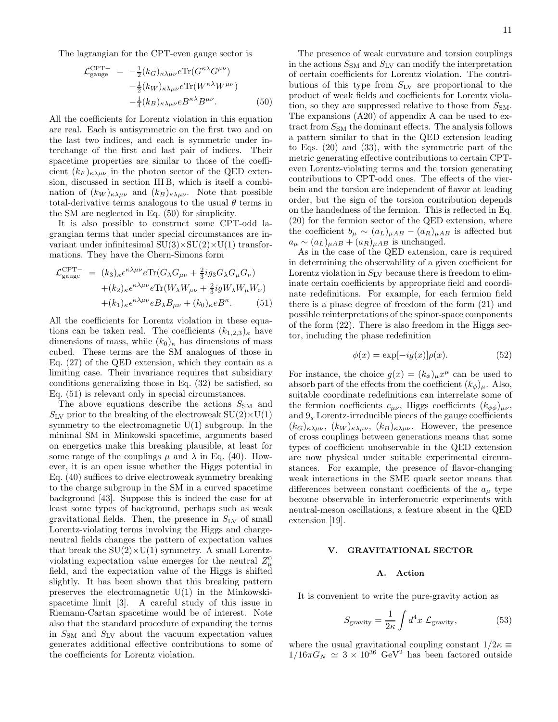The lagrangian for the CPT-even gauge sector is

$$
\mathcal{L}_{\text{gauge}}^{\text{CPT+}} = -\frac{1}{2} (k_G)_{\kappa \lambda \mu \nu} e \text{Tr} (G^{\kappa \lambda} G^{\mu \nu})
$$

$$
-\frac{1}{2} (k_W)_{\kappa \lambda \mu \nu} e \text{Tr} (W^{\kappa \lambda} W^{\mu \nu})
$$

$$
-\frac{1}{4} (k_B)_{\kappa \lambda \mu \nu} e B^{\kappa \lambda} B^{\mu \nu}.
$$
(50)

All the coefficients for Lorentz violation in this equation are real. Each is antisymmetric on the first two and on the last two indices, and each is symmetric under interchange of the first and last pair of indices. Their spacetime properties are similar to those of the coefficient  $(k_F)_{\kappa\lambda\mu\nu}$  in the photon sector of the QED extension, discussed in section III B, which is itself a combination of  $(k_W)_{\kappa\lambda\mu\nu}$  and  $(k_B)_{\kappa\lambda\mu\nu}$ . Note that possible total-derivative terms analogous to the usual  $\theta$  terms in the SM are neglected in Eq. (50) for simplicity.

It is also possible to construct some CPT-odd lagrangian terms that under special circumstances are invariant under infinitesimal  $SU(3)\times SU(2)\times U(1)$  transformations. They have the Chern-Simons form

$$
\mathcal{L}_{\text{gauge}}^{\text{CPT}-} = (k_3)_{\kappa} \epsilon^{\kappa \lambda \mu \nu} e \text{Tr}(G_{\lambda} G_{\mu \nu} + \frac{2}{3} i g_3 G_{\lambda} G_{\mu} G_{\nu}) \n+ (k_2)_{\kappa} \epsilon^{\kappa \lambda \mu \nu} e \text{Tr}(W_{\lambda} W_{\mu \nu} + \frac{2}{3} i g W_{\lambda} W_{\mu} W_{\nu}) \n+ (k_1)_{\kappa} \epsilon^{\kappa \lambda \mu \nu} e B_{\lambda} B_{\mu \nu} + (k_0)_{\kappa} e B^{\kappa}.
$$
\n(51)

All the coefficients for Lorentz violation in these equations can be taken real. The coefficients  $(k_{1,2,3})_{\kappa}$  have dimensions of mass, while  $(k_0)_{\kappa}$  has dimensions of mass cubed. These terms are the SM analogues of those in Eq. (27) of the QED extension, which they contain as a limiting case. Their invariance requires that subsidiary conditions generalizing those in Eq. (32) be satisfied, so Eq. (51) is relevant only in special circumstances.

The above equations describe the actions  $S_{\text{SM}}$  and  $S_{\text{LV}}$  prior to the breaking of the electroweak  $SU(2)\times U(1)$ symmetry to the electromagnetic  $U(1)$  subgroup. In the minimal SM in Minkowski spacetime, arguments based on energetics make this breaking plausible, at least for some range of the couplings  $\mu$  and  $\lambda$  in Eq. (40). However, it is an open issue whether the Higgs potential in Eq. (40) suffices to drive electroweak symmetry breaking to the charge subgroup in the SM in a curved spacetime background [43]. Suppose this is indeed the case for at least some types of background, perhaps such as weak gravitational fields. Then, the presence in  $S_{\rm LV}$  of small Lorentz-violating terms involving the Higgs and chargeneutral fields changes the pattern of expectation values that break the  $SU(2)\times U(1)$  symmetry. A small Lorentzviolating expectation value emerges for the neutral  $Z^0_\mu$ field, and the expectation value of the Higgs is shifted slightly. It has been shown that this breaking pattern preserves the electromagnetic U(1) in the Minkowskispacetime limit [3]. A careful study of this issue in Riemann-Cartan spacetime would be of interest. Note also that the standard procedure of expanding the terms in  $S_{SM}$  and  $S_{LV}$  about the vacuum expectation values generates additional effective contributions to some of the coefficients for Lorentz violation.

The presence of weak curvature and torsion couplings in the actions  $S_{SM}$  and  $S_{LV}$  can modify the interpretation of certain coefficients for Lorentz violation. The contributions of this type from  $S_{\text{LV}}$  are proportional to the product of weak fields and coefficients for Lorentz violation, so they are suppressed relative to those from  $S_{\text{SM}}$ . The expansions (A20) of appendix A can be used to extract from  $S_{\rm SM}$  the dominant effects. The analysis follows a pattern similar to that in the QED extension leading to Eqs. (20) and (33), with the symmetric part of the metric generating effective contributions to certain CPTeven Lorentz-violating terms and the torsion generating contributions to CPT-odd ones. The effects of the vierbein and the torsion are independent of flavor at leading order, but the sign of the torsion contribution depends on the handedness of the fermion. This is reflected in Eq. (20) for the fermion sector of the QED extension, where the coefficient  $b_{\mu} \sim (a_L)_{\mu AB} - (a_R)_{\mu AB}$  is affected but  $a_{\mu} \sim (a_L)_{\mu AB} + (a_R)_{\mu AB}$  is unchanged.

As in the case of the QED extension, care is required in determining the observability of a given coefficient for Lorentz violation in  $S_{\text{LV}}$  because there is freedom to eliminate certain coefficients by appropriate field and coordinate redefinitions. For example, for each fermion field there is a phase degree of freedom of the form (21) and possible reinterpretations of the spinor-space components of the form (22). There is also freedom in the Higgs sector, including the phase redefinition

$$
\phi(x) = \exp[-ig(x)]\rho(x). \tag{52}
$$

For instance, the choice  $g(x) = (k_{\phi})_{\mu} x^{\mu}$  can be used to absorb part of the effects from the coefficient  $(k_{\phi})_{\mu}$ . Also, suitable coordinate redefinitions can interrelate some of the fermion coefficients  $c_{\mu\nu}$ , Higgs coefficients  $(k_{\phi\phi})_{\mu\nu}$ , and  $9_s$  Lorentz-irreducible pieces of the gauge coefficients  $(k_G)_{\kappa\lambda\mu\nu}$ ,  $(k_W)_{\kappa\lambda\mu\nu}$ ,  $(k_B)_{\kappa\lambda\mu\nu}$ . However, the presence of cross couplings between generations means that some types of coefficient unobservable in the QED extension are now physical under suitable experimental circumstances. For example, the presence of flavor-changing weak interactions in the SME quark sector means that differences between constant coefficients of the  $a<sub>u</sub>$  type become observable in interferometric experiments with neutral-meson oscillations, a feature absent in the QED extension [19].

# V. GRAVITATIONAL SECTOR

## A. Action

It is convenient to write the pure-gravity action as

$$
S_{\text{gravity}} = \frac{1}{2\kappa} \int d^4x \ \mathcal{L}_{\text{gravity}},\tag{53}
$$

where the usual gravitational coupling constant  $1/2\kappa \equiv$  $1/16\pi G_N \simeq 3 \times 10^{36}$  GeV<sup>2</sup> has been factored outside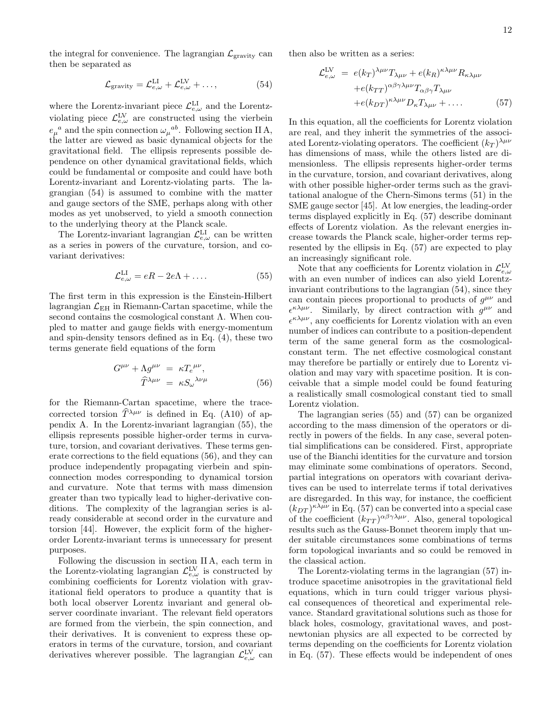the integral for convenience. The lagrangian  $\mathcal{L}_{gravity}$  can then be separated as

$$
\mathcal{L}_{\text{gravity}} = \mathcal{L}_{e,\omega}^{\text{LI}} + \mathcal{L}_{e,\omega}^{\text{LV}} + \dots,\tag{54}
$$

where the Lorentz-invariant piece  $\mathcal{L}_{e,\omega}^{\text{LI}}$  and the Lorentzviolating piece  $\mathcal{L}_{e,\omega}^{\text{LV}}$  are constructed using the vierbein  $e_{\mu}^{\ \ a}$  and the spin connection  $\omega_{\mu}^{\ \ ab}$ . Following section II A, the latter are viewed as basic dynamical objects for the gravitational field. The ellipsis represents possible dependence on other dynamical gravitational fields, which could be fundamental or composite and could have both Lorentz-invariant and Lorentz-violating parts. The lagrangian (54) is assumed to combine with the matter and gauge sectors of the SME, perhaps along with other modes as yet unobserved, to yield a smooth connection to the underlying theory at the Planck scale.

The Lorentz-invariant lagrangian  $\mathcal{L}_{e,\omega}^{\text{LI}}$  can be written as a series in powers of the curvature, torsion, and covariant derivatives:

$$
\mathcal{L}_{e,\omega}^{\text{LI}} = eR - 2e\Lambda + \dots \tag{55}
$$

The first term in this expression is the Einstein-Hilbert lagrangian  $\mathcal{L}_{EH}$  in Riemann-Cartan spacetime, while the second contains the cosmological constant  $\Lambda$ . When coupled to matter and gauge fields with energy-momentum and spin-density tensors defined as in Eq. (4), these two terms generate field equations of the form

$$
G^{\mu\nu} + \Lambda g^{\mu\nu} = \kappa T_e^{\mu\nu},
$$
  

$$
\widehat{T}^{\lambda\mu\nu} = \kappa S_{\omega}^{\ \lambda\nu\mu}
$$
 (56)

for the Riemann-Cartan spacetime, where the tracecorrected torsion  $\widehat{T}^{\lambda\mu\nu}$  is defined in Eq. (A10) of appendix A. In the Lorentz-invariant lagrangian (55), the ellipsis represents possible higher-order terms in curvature, torsion, and covariant derivatives. These terms generate corrections to the field equations (56), and they can produce independently propagating vierbein and spinconnection modes corresponding to dynamical torsion and curvature. Note that terms with mass dimension greater than two typically lead to higher-derivative conditions. The complexity of the lagrangian series is already considerable at second order in the curvature and torsion [44]. However, the explicit form of the higherorder Lorentz-invariant terms is unnecessary for present purposes.

Following the discussion in section II A, each term in the Lorentz-violating lagrangian  $\mathcal{L}_{e,\omega}^{\text{LV}}$  is constructed by combining coefficients for Lorentz violation with gravitational field operators to produce a quantity that is both local observer Lorentz invariant and general observer coordinate invariant. The relevant field operators are formed from the vierbein, the spin connection, and their derivatives. It is convenient to express these operators in terms of the curvature, torsion, and covariant derivatives wherever possible. The lagrangian  $\mathcal{L}_{e,\omega}^{\text{LV}}$  can

then also be written as a series:

$$
\mathcal{L}_{e,\omega}^{\text{LV}} = e(k_T)^{\lambda\mu\nu} T_{\lambda\mu\nu} + e(k_R)^{\kappa\lambda\mu\nu} R_{\kappa\lambda\mu\nu}
$$

$$
+ e(k_{TT})^{\alpha\beta\gamma\lambda\mu\nu} T_{\alpha\beta\gamma} T_{\lambda\mu\nu}
$$

$$
+ e(k_{DT})^{\kappa\lambda\mu\nu} D_{\kappa} T_{\lambda\mu\nu} + \dots \qquad (57)
$$

In this equation, all the coefficients for Lorentz violation are real, and they inherit the symmetries of the associated Lorentz-violating operators. The coefficient  $(k_T)^{\lambda\mu\nu}$ has dimensions of mass, while the others listed are dimensionless. The ellipsis represents higher-order terms in the curvature, torsion, and covariant derivatives, along with other possible higher-order terms such as the gravitational analogue of the Chern-Simons terms (51) in the SME gauge sector [45]. At low energies, the leading-order terms displayed explicitly in Eq. (57) describe dominant effects of Lorentz violation. As the relevant energies increase towards the Planck scale, higher-order terms represented by the ellipsis in Eq. (57) are expected to play an increasingly significant role.

Note that any coefficients for Lorentz violation in  $\mathcal{L}_{e,\omega}^{\text{LV}}$ with an even number of indices can also yield Lorentzinvariant contributions to the lagrangian (54), since they can contain pieces proportional to products of  $g^{\mu\nu}$  and  $\epsilon^{\kappa\lambda\mu\nu}$ . Similarly, by direct contraction with  $g^{\mu\nu}$  and  $\epsilon^{\kappa\lambda\mu\nu}$ , any coefficients for Lorentz violation with an even number of indices can contribute to a position-dependent term of the same general form as the cosmologicalconstant term. The net effective cosmological constant may therefore be partially or entirely due to Lorentz violation and may vary with spacetime position. It is conceivable that a simple model could be found featuring a realistically small cosmological constant tied to small Lorentz violation.

The lagrangian series (55) and (57) can be organized according to the mass dimension of the operators or directly in powers of the fields. In any case, several potential simplifications can be considered. First, appropriate use of the Bianchi identities for the curvature and torsion may eliminate some combinations of operators. Second, partial integrations on operators with covariant derivatives can be used to interrelate terms if total derivatives are disregarded. In this way, for instance, the coefficient  $(k_{DT})^{\kappa\lambda\mu\nu}$  in Eq. (57) can be converted into a special case of the coefficient  $(k_{TT})^{\alpha\beta\gamma\lambda\mu\nu}$ . Also, general topological results such as the Gauss-Bonnet theorem imply that under suitable circumstances some combinations of terms form topological invariants and so could be removed in the classical action.

The Lorentz-violating terms in the lagrangian (57) introduce spacetime anisotropies in the gravitational field equations, which in turn could trigger various physical consequences of theoretical and experimental relevance. Standard gravitational solutions such as those for black holes, cosmology, gravitational waves, and postnewtonian physics are all expected to be corrected by terms depending on the coefficients for Lorentz violation in Eq. (57). These effects would be independent of ones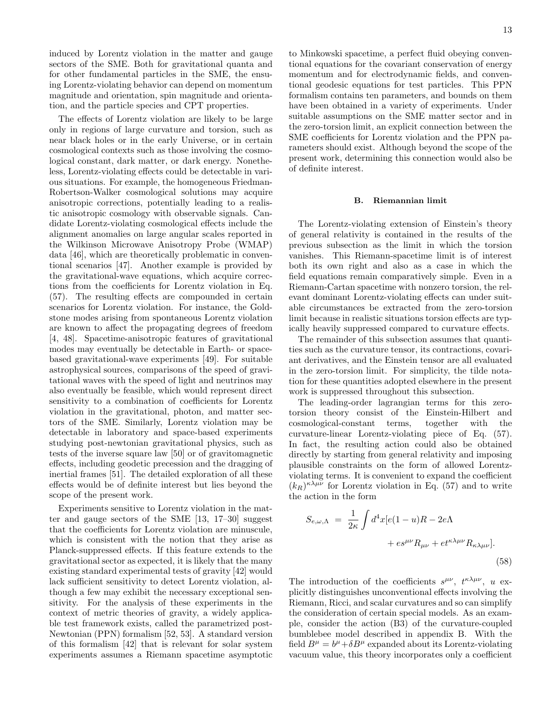induced by Lorentz violation in the matter and gauge sectors of the SME. Both for gravitational quanta and for other fundamental particles in the SME, the ensuing Lorentz-violating behavior can depend on momentum magnitude and orientation, spin magnitude and orientation, and the particle species and CPT properties.

The effects of Lorentz violation are likely to be large only in regions of large curvature and torsion, such as near black holes or in the early Universe, or in certain cosmological contexts such as those involving the cosmological constant, dark matter, or dark energy. Nonetheless, Lorentz-violating effects could be detectable in various situations. For example, the homogeneous Friedman-Robertson-Walker cosmological solutions may acquire anisotropic corrections, potentially leading to a realistic anisotropic cosmology with observable signals. Candidate Lorentz-violating cosmological effects include the alignment anomalies on large angular scales reported in the Wilkinson Microwave Anisotropy Probe (WMAP) data [46], which are theoretically problematic in conventional scenarios [47]. Another example is provided by the gravitational-wave equations, which acquire corrections from the coefficients for Lorentz violation in Eq. (57). The resulting effects are compounded in certain scenarios for Lorentz violation. For instance, the Goldstone modes arising from spontaneous Lorentz violation are known to affect the propagating degrees of freedom [4, 48]. Spacetime-anisotropic features of gravitational modes may eventually be detectable in Earth- or spacebased gravitational-wave experiments [49]. For suitable astrophysical sources, comparisons of the speed of gravitational waves with the speed of light and neutrinos may also eventually be feasible, which would represent direct sensitivity to a combination of coefficients for Lorentz violation in the gravitational, photon, and matter sectors of the SME. Similarly, Lorentz violation may be detectable in laboratory and space-based experiments studying post-newtonian gravitational physics, such as tests of the inverse square law [50] or of gravitomagnetic effects, including geodetic precession and the dragging of inertial frames [51]. The detailed exploration of all these effects would be of definite interest but lies beyond the scope of the present work.

Experiments sensitive to Lorentz violation in the matter and gauge sectors of the SME [13, 17–30] suggest that the coefficients for Lorentz violation are minuscule, which is consistent with the notion that they arise as Planck-suppressed effects. If this feature extends to the gravitational sector as expected, it is likely that the many existing standard experimental tests of gravity [42] would lack sufficient sensitivity to detect Lorentz violation, although a few may exhibit the necessary exceptional sensitivity. For the analysis of these experiments in the context of metric theories of gravity, a widely applicable test framework exists, called the parametrized post-Newtonian (PPN) formalism [52, 53]. A standard version of this formalism [42] that is relevant for solar system experiments assumes a Riemann spacetime asymptotic

to Minkowski spacetime, a perfect fluid obeying conventional equations for the covariant conservation of energy momentum and for electrodynamic fields, and conventional geodesic equations for test particles. This PPN formalism contains ten parameters, and bounds on them have been obtained in a variety of experiments. Under suitable assumptions on the SME matter sector and in the zero-torsion limit, an explicit connection between the SME coefficients for Lorentz violation and the PPN parameters should exist. Although beyond the scope of the present work, determining this connection would also be of definite interest.

# B. Riemannian limit

The Lorentz-violating extension of Einstein's theory of general relativity is contained in the results of the previous subsection as the limit in which the torsion vanishes. This Riemann-spacetime limit is of interest both its own right and also as a case in which the field equations remain comparatively simple. Even in a Riemann-Cartan spacetime with nonzero torsion, the relevant dominant Lorentz-violating effects can under suitable circumstances be extracted from the zero-torsion limit because in realistic situations torsion effects are typically heavily suppressed compared to curvature effects.

The remainder of this subsection assumes that quantities such as the curvature tensor, its contractions, covariant derivatives, and the Einstein tensor are all evaluated in the zero-torsion limit. For simplicity, the tilde notation for these quantities adopted elsewhere in the present work is suppressed throughout this subsection.

The leading-order lagrangian terms for this zerotorsion theory consist of the Einstein-Hilbert and cosmological-constant terms, together with the curvature-linear Lorentz-violating piece of Eq. (57). In fact, the resulting action could also be obtained directly by starting from general relativity and imposing plausible constraints on the form of allowed Lorentzviolating terms. It is convenient to expand the coefficient  $(k_R)^{\kappa\lambda\mu\nu}$  for Lorentz violation in Eq. (57) and to write the action in the form

$$
S_{e,\omega,\Lambda} = \frac{1}{2\kappa} \int d^4x [e(1-u)R - 2e\Lambda
$$
  
 
$$
+ es^{\mu\nu}R_{\mu\nu} + et^{\kappa\lambda\mu\nu}R_{\kappa\lambda\mu\nu}].
$$
 (58)

The introduction of the coefficients  $s^{\mu\nu}$ ,  $t^{\kappa\lambda\mu\nu}$ , u explicitly distinguishes unconventional effects involving the Riemann, Ricci, and scalar curvatures and so can simplify the consideration of certain special models. As an example, consider the action (B3) of the curvature-coupled bumblebee model described in appendix B. With the field  $B^{\mu} = b^{\mu} + \delta B^{\mu}$  expanded about its Lorentz-violating vacuum value, this theory incorporates only a coefficient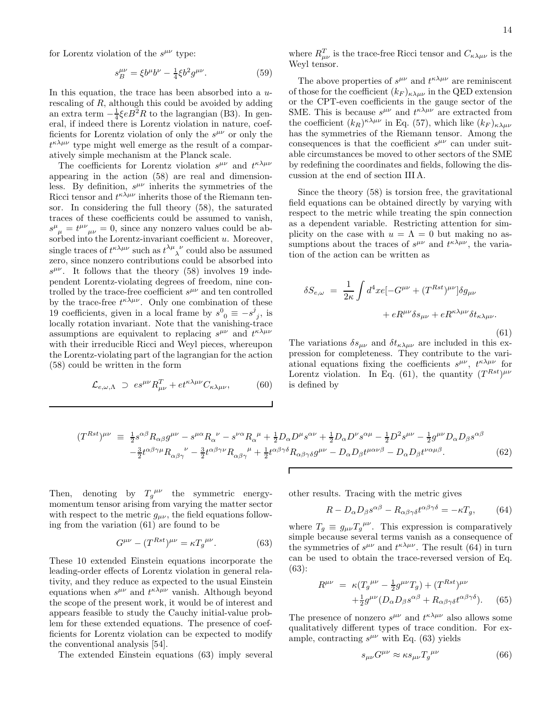for Lorentz violation of the  $s^{\mu\nu}$  type:

$$
s_B^{\mu\nu} = \xi b^{\mu} b^{\nu} - \frac{1}{4} \xi b^2 g^{\mu\nu}.
$$
 (59)

In this equation, the trace has been absorbed into a  $u$ rescaling of R, although this could be avoided by adding an extra term  $-\frac{1}{4}\xi eB^2R$  to the lagrangian (B3). In general, if indeed there is Lorentz violation in nature, coefficients for Lorentz violation of only the  $s^{\mu\nu}$  or only the  $t^{\kappa\lambda\mu\nu}$  type might well emerge as the result of a comparatively simple mechanism at the Planck scale.

The coefficients for Lorentz violation  $s^{\mu\nu}$  and  $t^{\kappa\lambda\mu\nu}$ appearing in the action (58) are real and dimensionless. By definition,  $s^{\mu\nu}$  inherits the symmetries of the Ricci tensor and  $t^{\kappa\lambda\mu\nu}$  inherits those of the Riemann tensor. In considering the full theory (58), the saturated traces of these coefficients could be assumed to vanish,  $s^{\mu}_{\mu} = t^{\mu\nu}_{\mu\nu} = 0$ , since any nonzero values could be absorbed into the Lorentz-invariant coefficient  $u$ . Moreover, single traces of  $t^{\kappa\lambda\mu\nu}$  such as  $t^{\lambda\mu\nu}_{\lambda}$  could also be assumed zero, since nonzero contributions could be absorbed into  $s^{\mu\nu}$ . It follows that the theory (58) involves 19 independent Lorentz-violating degrees of freedom, nine controlled by the trace-free coefficient  $s^{\mu\nu}$  and ten controlled by the trace-free  $t^{\kappa\lambda\mu\nu}$ . Only one combination of these 19 coefficients, given in a local frame by  $s^0_{\quad} \equiv -s^j_{j}$ , is locally rotation invariant. Note that the vanishing-trace assumptions are equivalent to replacing  $s^{\mu\nu}$  and  $t^{\kappa\lambda\mu\nu}$ with their irreducible Ricci and Weyl pieces, whereupon the Lorentz-violating part of the lagrangian for the action (58) could be written in the form

$$
\mathcal{L}_{e,\omega,\Lambda} \supset \, es^{\mu\nu} R_{\mu\nu}^T + et^{\kappa\lambda\mu\nu} C_{\kappa\lambda\mu\nu},\tag{60}
$$

where  $R_{\mu\nu}^T$  is the trace-free Ricci tensor and  $C_{\kappa\lambda\mu\nu}$  is the Weyl tensor.

The above properties of  $s^{\mu\nu}$  and  $t^{\kappa\lambda\mu\nu}$  are reminiscent of those for the coefficient  $(k_F)_{\kappa\lambda\mu\nu}$  in the QED extension or the CPT-even coefficients in the gauge sector of the SME. This is because  $s^{\mu\nu}$  and  $t^{\kappa\lambda\mu\nu}$  are extracted from the coefficient  $(k_R)^{\kappa\lambda\mu\nu}$  in Eq. (57), which like  $(k_F)_{\kappa\lambda\mu\nu}$ has the symmetries of the Riemann tensor. Among the consequences is that the coefficient  $s^{\mu\nu}$  can under suitable circumstances be moved to other sectors of the SME by redefining the coordinates and fields, following the discussion at the end of section III A.

Since the theory (58) is torsion free, the gravitational field equations can be obtained directly by varying with respect to the metric while treating the spin connection as a dependent variable. Restricting attention for simplicity on the case with  $u = \Lambda = 0$  but making no assumptions about the traces of  $s^{\mu\nu}$  and  $t^{\kappa\lambda\mu\nu}$ , the variation of the action can be written as

$$
\delta S_{e,\omega} = \frac{1}{2\kappa} \int d^4x e \left[ -G^{\mu\nu} + (T^{Rst})^{\mu\nu} \right] \delta g_{\mu\nu} + e R^{\mu\nu} \delta s_{\mu\nu} + e R^{\kappa\lambda\mu\nu} \delta t_{\kappa\lambda\mu\nu}.
$$
\n(61)

The variations  $\delta s_{\mu\nu}$  and  $\delta t_{\kappa\lambda\mu\nu}$  are included in this expression for completeness. They contribute to the variational equations fixing the coefficients  $s^{\mu\nu}$ ,  $t^{\kappa\lambda\mu\nu}$  for Lorentz violation. In Eq. (61), the quantity  $(T^{Rst})^{\mu\nu}$ is defined by

$$
(T^{Rst})^{\mu\nu} \equiv \frac{1}{2} s^{\alpha\beta} R_{\alpha\beta} g^{\mu\nu} - s^{\mu\alpha} R_{\alpha}{}^{\nu} - s^{\nu\alpha} R_{\alpha}{}^{\mu} + \frac{1}{2} D_{\alpha} D^{\mu} s^{\alpha\nu} + \frac{1}{2} D_{\alpha} D^{\nu} s^{\alpha\mu} - \frac{1}{2} D^2 s^{\mu\nu} - \frac{1}{2} g^{\mu\nu} D_{\alpha} D_{\beta} s^{\alpha\beta} - \frac{3}{2} t^{\alpha\beta\gamma\mu} R_{\alpha\beta\gamma}{}^{\nu} - \frac{3}{2} t^{\alpha\beta\gamma\nu} R_{\alpha\beta\gamma}{}^{\mu} + \frac{1}{2} t^{\alpha\beta\gamma\delta} R_{\alpha\beta\gamma\delta} g^{\mu\nu} - D_{\alpha} D_{\beta} t^{\mu\alpha\nu\beta} - D_{\alpha} D_{\beta} t^{\nu\alpha\mu\beta}.
$$
 (62)

Then, denoting by  $T_g^{\mu\nu}$  the symmetric energymomentum tensor arising from varying the matter sector with respect to the metric  $g_{\mu\nu}$ , the field equations following from the variation (61) are found to be

$$
G^{\mu\nu} - (T^{Rst})^{\mu\nu} = \kappa T_g^{\ \mu\nu}.
$$
 (63)

These 10 extended Einstein equations incorporate the leading-order effects of Lorentz violation in general relativity, and they reduce as expected to the usual Einstein equations when  $s^{\mu\nu}$  and  $t^{\kappa\lambda\mu\nu}$  vanish. Although beyond the scope of the present work, it would be of interest and appears feasible to study the Cauchy initial-value problem for these extended equations. The presence of coefficients for Lorentz violation can be expected to modify the conventional analysis [54].

The extended Einstein equations (63) imply several

other results. Tracing with the metric gives

$$
R - D_{\alpha} D_{\beta} s^{\alpha \beta} - R_{\alpha \beta \gamma \delta} t^{\alpha \beta \gamma \delta} = -\kappa T_g, \qquad (64)
$$

where  $T_g \equiv g_{\mu\nu} T_g^{\mu\nu}$ . This expression is comparatively simple because several terms vanish as a consequence of the symmetries of  $s^{\mu\nu}$  and  $t^{\kappa\lambda\mu\nu}$ . The result (64) in turn can be used to obtain the trace-reversed version of Eq. (63):

$$
R^{\mu\nu} = \kappa (T_g^{\mu\nu} - \frac{1}{2} g^{\mu\nu} T_g) + (T^{Rst})^{\mu\nu}
$$

$$
+ \frac{1}{2} g^{\mu\nu} (D_\alpha D_\beta s^{\alpha\beta} + R_{\alpha\beta\gamma\delta} t^{\alpha\beta\gamma\delta}). \tag{65}
$$

The presence of nonzero  $s^{\mu\nu}$  and  $t^{\kappa\lambda\mu\nu}$  also allows some qualitatively different types of trace condition. For example, contracting  $s^{\mu\nu}$  with Eq. (63) yields

$$
s_{\mu\nu}G^{\mu\nu} \approx \kappa s_{\mu\nu} T_g^{\ \mu\nu} \tag{66}
$$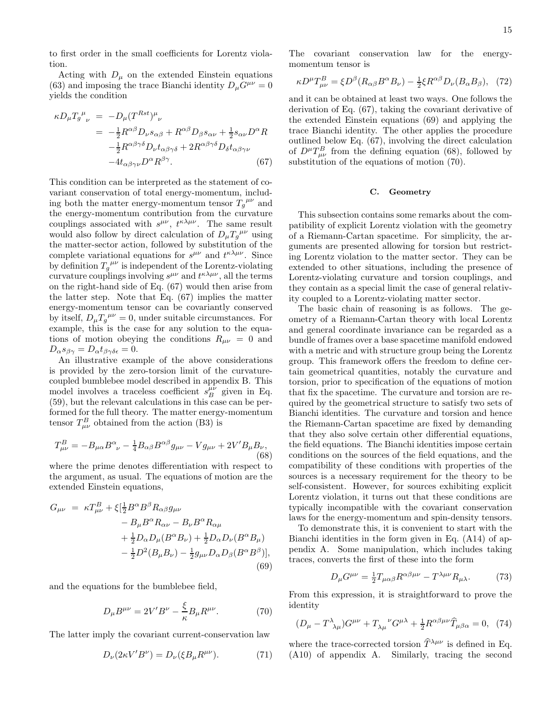to first order in the small coefficients for Lorentz violation.

Acting with  $D_{\mu}$  on the extended Einstein equations (63) and imposing the trace Bianchi identity  $D_{\mu}G^{\mu\nu} = 0$ yields the condition

$$
\kappa D_{\mu} T_{g}{}^{\mu}{}_{\nu} = -D_{\mu} (T^{Rst})^{\mu}{}_{\nu}
$$
  
=  $-\frac{1}{2} R^{\alpha\beta} D_{\nu} s_{\alpha\beta} + R^{\alpha\beta} D_{\beta} s_{\alpha\nu} + \frac{1}{2} s_{\alpha\nu} D^{\alpha} R$   
 $-\frac{1}{2} R^{\alpha\beta\gamma\delta} D_{\nu} t_{\alpha\beta\gamma\delta} + 2 R^{\alpha\beta\gamma\delta} D_{\delta} t_{\alpha\beta\gamma\nu}$   
 $-4t_{\alpha\beta\gamma\nu} D^{\alpha} R^{\beta\gamma}.$  (67)

This condition can be interpreted as the statement of covariant conservation of total energy-momentum, including both the matter energy-momentum tensor  $T_g^{\ \mu\nu}$  and the energy-momentum contribution from the curvature couplings associated with  $s^{\mu\nu}$ ,  $t^{\kappa\lambda\mu\nu}$ . The same result would also follow by direct calculation of  $D_{\mu}T_g^{\mu\nu}$  using the matter-sector action, followed by substitution of the complete variational equations for  $s^{\mu\nu}$  and  $t^{\kappa\lambda\mu\nu}$ . Since by definition  $T_g^{\ \mu\nu}$  is independent of the Lorentz-violating curvature couplings involving  $s^{\mu\nu}$  and  $t^{\kappa\lambda\mu\nu}$ , all the terms on the right-hand side of Eq. (67) would then arise from the latter step. Note that Eq. (67) implies the matter energy-momentum tensor can be covariantly conserved by itself,  $D_{\mu}T_{g}^{\mu\nu} = 0$ , under suitable circumstances. For example, this is the case for any solution to the equations of motion obeying the conditions  $R_{\mu\nu} = 0$  and  $D_{\alpha}s_{\beta\gamma}=D_{\alpha}t_{\beta\gamma\delta\epsilon}=0.$ 

An illustrative example of the above considerations is provided by the zero-torsion limit of the curvaturecoupled bumblebee model described in appendix B. This model involves a traceless coefficient  $s_B^{\mu\nu}$  given in Eq. (59), but the relevant calculations in this case can be performed for the full theory. The matter energy-momentum tensor  $T_{\mu\nu}^B$  obtained from the action (B3) is

$$
T_{\mu\nu}^{B} = -B_{\mu\alpha}B^{\alpha}{}_{\nu} - \frac{1}{4}B_{\alpha\beta}B^{\alpha\beta}g_{\mu\nu} - Vg_{\mu\nu} + 2V'B_{\mu}B_{\nu},
$$
\n(68)

where the prime denotes differentiation with respect to the argument, as usual. The equations of motion are the extended Einstein equations,

$$
G_{\mu\nu} = \kappa T_{\mu\nu}^B + \xi \left[\frac{1}{2}B^{\alpha}B^{\beta}R_{\alpha\beta}g_{\mu\nu}\right.- B_{\mu}B^{\alpha}R_{\alpha\nu} - B_{\nu}B^{\alpha}R_{\alpha\mu}+ \frac{1}{2}D_{\alpha}D_{\mu}(B^{\alpha}B_{\nu}) + \frac{1}{2}D_{\alpha}D_{\nu}(B^{\alpha}B_{\mu})- \frac{1}{2}D^2(B_{\mu}B_{\nu}) - \frac{1}{2}g_{\mu\nu}D_{\alpha}D_{\beta}(B^{\alpha}B^{\beta})],
$$
\n(69)

and the equations for the bumblebee field,

$$
D_{\mu}B^{\mu\nu} = 2V'B^{\nu} - \frac{\xi}{\kappa}B_{\mu}R^{\mu\nu}.
$$
 (70)

The latter imply the covariant current-conservation law

$$
D_{\nu}(2\kappa V'B^{\nu}) = D_{\nu}(\xi B_{\mu}R^{\mu\nu}). \tag{71}
$$

The covariant conservation law for the energymomentum tensor is

$$
\kappa D^{\mu} T_{\mu\nu}^{B} = \xi D^{\beta} (R_{\alpha\beta} B^{\alpha} B_{\nu}) - \frac{1}{2} \xi R^{\alpha\beta} D_{\nu} (B_{\alpha} B_{\beta}), \quad (72)
$$

and it can be obtained at least two ways. One follows the derivation of Eq. (67), taking the covariant derivative of the extended Einstein equations (69) and applying the trace Bianchi identity. The other applies the procedure outlined below Eq. (67), involving the direct calculation of  $D^{\mu}T_{\mu\nu}^{B}$  from the defining equation (68), followed by substitution of the equations of motion (70).

## C. Geometry

This subsection contains some remarks about the compatibility of explicit Lorentz violation with the geometry of a Riemann-Cartan spacetime. For simplicity, the arguments are presented allowing for torsion but restricting Lorentz violation to the matter sector. They can be extended to other situations, including the presence of Lorentz-violating curvature and torsion couplings, and they contain as a special limit the case of general relativity coupled to a Lorentz-violating matter sector.

The basic chain of reasoning is as follows. The geometry of a Riemann-Cartan theory with local Lorentz and general coordinate invariance can be regarded as a bundle of frames over a base spacetime manifold endowed with a metric and with structure group being the Lorentz group. This framework offers the freedom to define certain geometrical quantities, notably the curvature and torsion, prior to specification of the equations of motion that fix the spacetime. The curvature and torsion are required by the geometrical structure to satisfy two sets of Bianchi identities. The curvature and torsion and hence the Riemann-Cartan spacetime are fixed by demanding that they also solve certain other differential equations, the field equations. The Bianchi identities impose certain conditions on the sources of the field equations, and the compatibility of these conditions with properties of the sources is a necessary requirement for the theory to be self-consistent. However, for sources exhibiting explicit Lorentz violation, it turns out that these conditions are typically incompatible with the covariant conservation laws for the energy-momentum and spin-density tensors.

To demonstrate this, it is convenient to start with the Bianchi identities in the form given in Eq. (A14) of appendix A. Some manipulation, which includes taking traces, converts the first of these into the form

$$
D_{\mu}G^{\mu\nu} = \frac{1}{2}T_{\mu\alpha\beta}R^{\alpha\beta\mu\nu} - T^{\lambda\mu\nu}R_{\mu\lambda}.
$$
 (73)

From this expression, it is straightforward to prove the identity

$$
(D_{\mu} - T^{\lambda}_{\ \lambda\mu})G^{\mu\nu} + T_{\lambda\mu}^{\ \ \nu}G^{\mu\lambda} + \frac{1}{2}R^{\alpha\beta\mu\nu}\hat{T}_{\mu\beta\alpha} = 0, \tag{74}
$$

where the trace-corrected torsion  $\widehat{T}^{\lambda\mu\nu}$  is defined in Eq. (A10) of appendix A. Similarly, tracing the second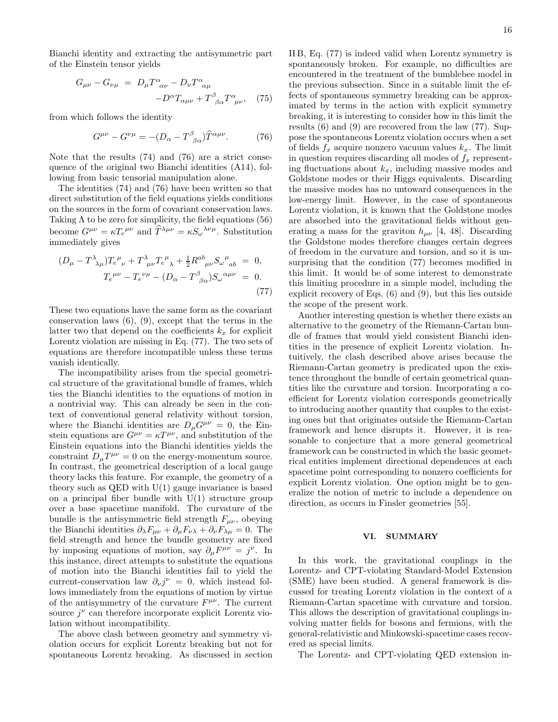Bianchi identity and extracting the antisymmetric part of the Einstein tensor yields

$$
G_{\mu\nu} - G_{\nu\mu} = D_{\mu} T^{\alpha}_{\alpha\nu} - D_{\nu} T^{\alpha}_{\alpha\mu} -D^{\alpha} T_{\alpha\mu\nu} + T^{\beta}_{\beta\alpha} T^{\alpha}_{\mu\nu}, \quad (75)
$$

from which follows the identity

$$
G^{\mu\nu} - G^{\nu\mu} = -(D_{\alpha} - T^{\beta}_{\ \beta\alpha})\widehat{T}^{\alpha\mu\nu}.
$$
 (76)

Note that the results (74) and (76) are a strict consequence of the original two Bianchi identities (A14), following from basic tensorial manipulation alone.

The identities (74) and (76) have been written so that direct substitution of the field equations yields conditions on the sources in the form of covariant conservation laws. Taking  $\Lambda$  to be zero for simplicity, the field equations (56) become  $G^{\mu\nu} = \kappa T_e^{\mu\nu}$  and  $\hat{T}^{\lambda\mu\nu} = \kappa S_\omega^{\lambda\nu\mu}$ . Substitution immediately gives

$$
(D_{\mu} - T^{\lambda}_{\ \lambda\mu})T_{e}^{\ \mu}_{\ \nu} + T^{\lambda}_{\ \mu\nu}T_{e}^{\ \mu}_{\ \lambda} + \frac{1}{2}R^{ab}_{\ \mu\nu}S_{\omega}^{\ \mu}_{\ ab} = 0,
$$
  

$$
T_{e}^{\ \mu\nu} - T_{e}^{\ \nu\mu} - (D_{\alpha} - T^{\beta}_{\ \beta\alpha})S_{\omega}^{\ \alpha\mu\nu} = 0.
$$
 (77)

These two equations have the same form as the covariant conservation laws (6), (9), except that the terms in the latter two that depend on the coefficients  $k_x$  for explicit Lorentz violation are missing in Eq. (77). The two sets of equations are therefore incompatible unless these terms vanish identically.

The incompatibility arises from the special geometrical structure of the gravitational bundle of frames, which ties the Bianchi identities to the equations of motion in a nontrivial way. This can already be seen in the context of conventional general relativity without torsion, where the Bianchi identities are  $D_{\mu}G^{\mu\nu} = 0$ , the Einstein equations are  $G^{\mu\nu} = \kappa T^{\mu\nu}$ , and substitution of the Einstein equations into the Bianchi identities yields the constraint  $D_{\mu}T^{\mu\nu} = 0$  on the energy-momentum source. In contrast, the geometrical description of a local gauge theory lacks this feature. For example, the geometry of a theory such as QED with U(1) gauge invariance is based on a principal fiber bundle with  $U(1)$  structure group over a base spacetime manifold. The curvature of the bundle is the antisymmetric field strength  $F_{\mu\nu}$ , obeying the Bianchi identities  $\partial_{\lambda}F_{\mu\nu} + \partial_{\mu}F_{\nu\lambda} + \partial_{\nu}F_{\lambda\mu} = 0$ . The field strength and hence the bundle geometry are fixed by imposing equations of motion, say  $\partial_{\mu}F^{\mu\nu} = j^{\nu}$ . In this instance, direct attempts to substitute the equations of motion into the Bianchi identities fail to yield the current-conservation law  $\partial_{\nu} j^{\nu} = 0$ , which instead follows immediately from the equations of motion by virtue of the antisymmetry of the curvature  $F^{\mu\nu}$ . The current source  $j^{\nu}$  can therefore incorporate explicit Lorentz violation without incompatibility.

The above clash between geometry and symmetry violation occurs for explicit Lorentz breaking but not for spontaneous Lorentz breaking. As discussed in section

II B, Eq. (77) is indeed valid when Lorentz symmetry is spontaneously broken. For example, no difficulties are encountered in the treatment of the bumblebee model in the previous subsection. Since in a suitable limit the effects of spontaneous symmetry breaking can be approximated by terms in the action with explicit symmetry breaking, it is interesting to consider how in this limit the results (6) and (9) are recovered from the law (77). Suppose the spontaneous Lorentz violation occurs when a set of fields  $f_x$  acquire nonzero vacuum values  $k_x$ . The limit in question requires discarding all modes of  $f_x$  representing fluctuations about  $k_x$ , including massive modes and Goldstone modes or their Higgs equivalents. Discarding the massive modes has no untoward consequences in the low-energy limit. However, in the case of spontaneous Lorentz violation, it is known that the Goldstone modes are absorbed into the gravitational fields without generating a mass for the graviton  $h_{\mu\nu}$  [4, 48]. Discarding the Goldstone modes therefore changes certain degrees of freedom in the curvature and torsion, and so it is unsurprising that the condition (77) becomes modified in this limit. It would be of some interest to demonstrate this limiting procedure in a simple model, including the explicit recovery of Eqs. (6) and (9), but this lies outside the scope of the present work.

Another interesting question is whether there exists an alternative to the geometry of the Riemann-Cartan bundle of frames that would yield consistent Bianchi identities in the presence of explicit Lorentz violation. Intuitively, the clash described above arises because the Riemann-Cartan geometry is predicated upon the existence throughout the bundle of certain geometrical quantities like the curvature and torsion. Incorporating a coefficient for Lorentz violation corresponds geometrically to introducing another quantity that couples to the existing ones but that originates outside the Riemann-Cartan framework and hence disrupts it. However, it is reasonable to conjecture that a more general geometrical framework can be constructed in which the basic geometrical entities implement directional dependences at each spacetime point corresponding to nonzero coefficients for explicit Lorentz violation. One option might be to generalize the notion of metric to include a dependence on direction, as occurs in Finsler geometries [55].

# VI. SUMMARY

In this work, the gravitational couplings in the Lorentz- and CPT-violating Standard-Model Extension (SME) have been studied. A general framework is discussed for treating Lorentz violation in the context of a Riemann-Cartan spacetime with curvature and torsion. This allows the description of gravitational couplings involving matter fields for bosons and fermions, with the general-relativistic and Minkowski-spacetime cases recovered as special limits.

The Lorentz- and CPT-violating QED extension in-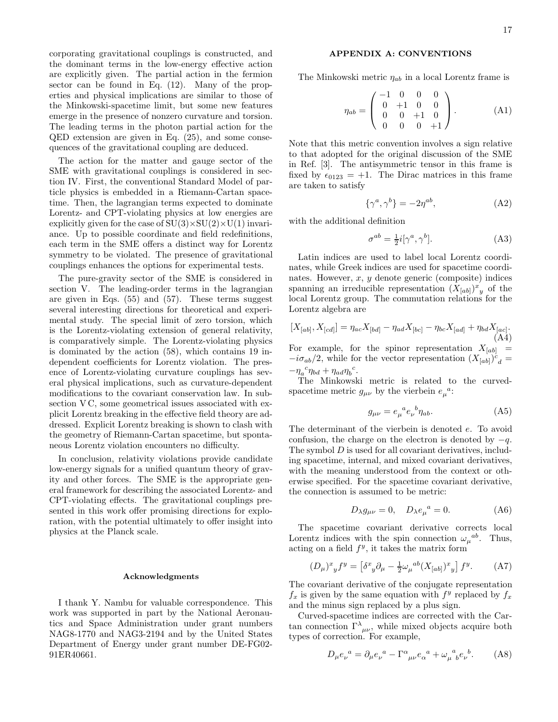corporating gravitational couplings is constructed, and the dominant terms in the low-energy effective action are explicitly given. The partial action in the fermion sector can be found in Eq. (12). Many of the properties and physical implications are similar to those of the Minkowski-spacetime limit, but some new features emerge in the presence of nonzero curvature and torsion. The leading terms in the photon partial action for the QED extension are given in Eq. (25), and some consequences of the gravitational coupling are deduced.

The action for the matter and gauge sector of the SME with gravitational couplings is considered in section IV. First, the conventional Standard Model of particle physics is embedded in a Riemann-Cartan spacetime. Then, the lagrangian terms expected to dominate Lorentz- and CPT-violating physics at low energies are explicitly given for the case of  $SU(3)\times SU(2)\times U(1)$  invariance. Up to possible coordinate and field redefinitions, each term in the SME offers a distinct way for Lorentz symmetry to be violated. The presence of gravitational couplings enhances the options for experimental tests.

The pure-gravity sector of the SME is considered in section V. The leading-order terms in the lagrangian are given in Eqs. (55) and (57). These terms suggest several interesting directions for theoretical and experimental study. The special limit of zero torsion, which is the Lorentz-violating extension of general relativity, is comparatively simple. The Lorentz-violating physics is dominated by the action (58), which contains 19 independent coefficients for Lorentz violation. The presence of Lorentz-violating curvature couplings has several physical implications, such as curvature-dependent modifications to the covariant conservation law. In subsection VC, some geometrical issues associated with explicit Lorentz breaking in the effective field theory are addressed. Explicit Lorentz breaking is shown to clash with the geometry of Riemann-Cartan spacetime, but spontaneous Lorentz violation encounters no difficulty.

In conclusion, relativity violations provide candidate low-energy signals for a unified quantum theory of gravity and other forces. The SME is the appropriate general framework for describing the associated Lorentz- and CPT-violating effects. The gravitational couplings presented in this work offer promising directions for exploration, with the potential ultimately to offer insight into physics at the Planck scale.

#### Acknowledgments

I thank Y. Nambu for valuable correspondence. This work was supported in part by the National Aeronautics and Space Administration under grant numbers NAG8-1770 and NAG3-2194 and by the United States Department of Energy under grant number DE-FG02- 91ER40661.

# APPENDIX A: CONVENTIONS

The Minkowski metric  $\eta_{ab}$  in a local Lorentz frame is

$$
\eta_{ab} = \begin{pmatrix} -1 & 0 & 0 & 0 \\ 0 & +1 & 0 & 0 \\ 0 & 0 & +1 & 0 \\ 0 & 0 & 0 & +1 \end{pmatrix} .
$$
 (A1)

Note that this metric convention involves a sign relative to that adopted for the original discussion of the SME in Ref. [3]. The antisymmetric tensor in this frame is fixed by  $\epsilon_{0123} = +1$ . The Dirac matrices in this frame are taken to satisfy

$$
\{\gamma^a, \gamma^b\} = -2\eta^{ab},\tag{A2}
$$

with the additional definition

$$
\sigma^{ab} = \frac{1}{2}i[\gamma^a, \gamma^b].\tag{A3}
$$

Latin indices are used to label local Lorentz coordinates, while Greek indices are used for spacetime coordinates. However,  $x, y$  denote generic (composite) indices spanning an irreducible representation  $(X_{[ab]})^x{}_y$  of the local Lorentz group. The commutation relations for the Lorentz algebra are

$$
[X_{[ab]}, X_{[cd]}] = \eta_{ac} X_{[bd]} - \eta_{ad} X_{[bc]} - \eta_{bc} X_{[ad]} + \eta_{bd} X_{[ac]}.
$$
\n(A4)

For example, for the spinor representation  $X_{[ab]}$  =  $-i\sigma_{ab}/2$ , while for the vector representation  $(X_{[ab]})^{\dot{c}}{}_d =$  $-\eta_a^{\ \ c}\eta_{bd}+\eta_{ad}\eta_b^{\ \ c}.$ 

The Minkowski metric is related to the curvedspacetime metric  $g_{\mu\nu}$  by the vierbein  $e_{\mu}^{\ a}$ :

$$
g_{\mu\nu} = e_{\mu}^{\ \ a} e_{\nu}^{\ \ b} \eta_{ab}.\tag{A5}
$$

The determinant of the vierbein is denoted e. To avoid confusion, the charge on the electron is denoted by  $-q$ . The symbol D is used for all covariant derivatives, including spacetime, internal, and mixed covariant derivatives, with the meaning understood from the context or otherwise specified. For the spacetime covariant derivative, the connection is assumed to be metric:

$$
D_{\lambda}g_{\mu\nu} = 0, \quad D_{\lambda}e_{\mu}^{a} = 0. \tag{A6}
$$

The spacetime covariant derivative corrects local Lorentz indices with the spin connection  $\omega_{\mu}{}^{ab}$ . Thus, acting on a field  $f<sup>y</sup>$ , it takes the matrix form

$$
(D_{\mu})^{x}_{\ y} f^{y} = \left[\delta^{x}_{\ y}\partial_{\mu} - \frac{1}{2}\omega_{\mu}^{\ a b}(X_{[ab]})^{x}_{\ y}\right] f^{y}.\tag{A7}
$$

The covariant derivative of the conjugate representation  $f_x$  is given by the same equation with  $f^y$  replaced by  $f_x$ and the minus sign replaced by a plus sign.

Curved-spacetime indices are corrected with the Cartan connection  $\Gamma^{\lambda}{}_{\mu\nu}$ , while mixed objects acquire both types of correction. For example,

$$
D_{\mu}e_{\nu}^{\ a} = \partial_{\mu}e_{\nu}^{\ a} - \Gamma^{\alpha}{}_{\mu\nu}e_{\alpha}^{\ a} + \omega_{\mu}^{\ a}{}_{b}e_{\nu}^{\ b}.
$$
 (A8)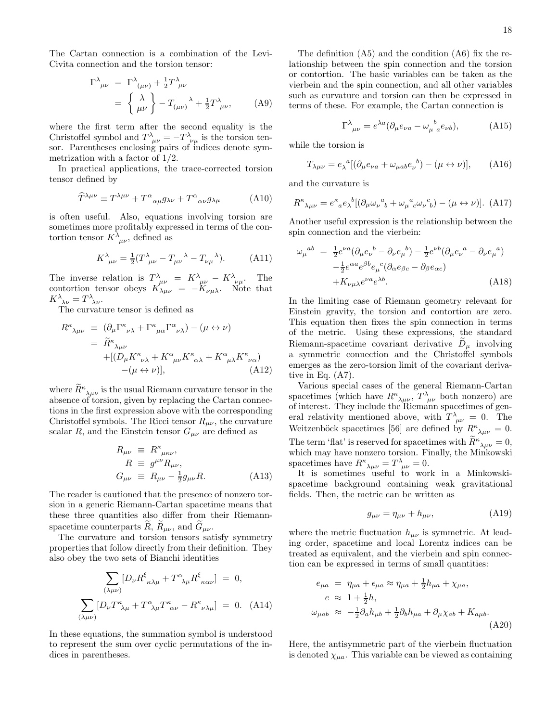The Cartan connection is a combination of the Levi-Civita connection and the torsion tensor:

$$
\Gamma^{\lambda}{}_{\mu\nu} = \Gamma^{\lambda}{}_{(\mu\nu)} + \frac{1}{2}T^{\lambda}{}_{\mu\nu}
$$

$$
= \left\{ \begin{array}{c} \lambda \\ \mu\nu \end{array} \right\} - T_{(\mu\nu)}{}^{\lambda} + \frac{1}{2}T^{\lambda}{}_{\mu\nu}, \tag{A9}
$$

where the first term after the second equality is the Christoffel symbol and  $T^{\lambda}_{\mu\nu} = -T^{\lambda}_{\nu\mu}$  is the torsion tensor. Parentheses enclosing pairs of indices denote symmetrization with a factor of 1/2.

In practical applications, the trace-corrected torsion tensor defined by

$$
\widehat{T}^{\lambda\mu\nu} \equiv T^{\lambda\mu\nu} + T^{\alpha}{}_{\alpha\mu}g_{\lambda\nu} + T^{\alpha}{}_{\alpha\nu}g_{\lambda\mu} \tag{A10}
$$

is often useful. Also, equations involving torsion are sometimes more profitably expressed in terms of the contortion tensor  $K^{\lambda}_{\mu\nu}$ , defined as

$$
K^{\lambda}_{\ \mu\nu} = \frac{1}{2} (T^{\lambda}_{\ \mu\nu} - T_{\mu\nu}{}^{\lambda} - T_{\nu\mu}{}^{\lambda}).
$$
 (A11)

The inverse relation is  $T^{\lambda}_{\mu\nu} = K^{\lambda}_{\mu\nu} - K^{\lambda}_{\nu\mu}$ . The contortion tensor obeys  $K_{\lambda\mu\nu} = -K_{\nu\mu\lambda}$ . Note that  $K^{\lambda}_{\lambda\nu} = T^{\lambda}_{\lambda\nu}.$ 

The curvature tensor is defined as

$$
R^{\kappa}{}_{\lambda\mu\nu} \equiv (\partial_{\mu}\Gamma^{\kappa}{}_{\nu\lambda} + \Gamma^{\kappa}{}_{\mu\alpha}\Gamma^{\alpha}{}_{\nu\lambda}) - (\mu \leftrightarrow \nu)
$$
  

$$
= \tilde{R}^{\kappa}{}_{\lambda\mu\nu}
$$
  

$$
+ [ (D_{\mu}K^{\kappa}{}_{\nu\lambda} + K^{\alpha}{}_{\mu\nu}K^{\kappa}{}_{\alpha\lambda} + K^{\alpha}{}_{\mu\lambda}K^{\kappa}{}_{\nu\alpha})
$$
  

$$
- (\mu \leftrightarrow \nu) ], \qquad (A12)
$$

where  $\widetilde{R}^{\kappa}{}_{\lambda\mu\nu}$  is the usual Riemann curvature tensor in the absence of torsion, given by replacing the Cartan connections in the first expression above with the corresponding Christoffel symbols. The Ricci tensor  $R_{\mu\nu}$ , the curvature scalar R, and the Einstein tensor  $G_{\mu\nu}$  are defined as

$$
R_{\mu\nu} \equiv R^{\kappa}{}_{\mu\kappa\nu},
$$
  
\n
$$
R \equiv g^{\mu\nu} R_{\mu\nu},
$$
  
\n
$$
G_{\mu\nu} \equiv R_{\mu\nu} - \frac{1}{2} g_{\mu\nu} R.
$$
\n(A13)

The reader is cautioned that the presence of nonzero torsion in a generic Riemann-Cartan spacetime means that these three quantities also differ from their Riemannspacetime counterparts  $\widetilde{R}$ ,  $\widetilde{R}_{\mu\nu}$ , and  $\widetilde{G}_{\mu\nu}$ .

The curvature and torsion tensors satisfy symmetry properties that follow directly from their definition. They also obey the two sets of Bianchi identities

$$
\sum_{(\lambda\mu\nu)} [D_{\nu}R^{\xi}_{\kappa\lambda\mu} + T^{\alpha}_{\lambda\mu}R^{\xi}_{\kappa\alpha\nu}] = 0,
$$
  

$$
\sum_{(\lambda\mu\nu)} [D_{\nu}T^{\kappa}_{\lambda\mu} + T^{\alpha}_{\lambda\mu}T^{\kappa}_{\alpha\nu} - R^{\kappa}_{\nu\lambda\mu}] = 0.
$$
 (A14)

In these equations, the summation symbol is understood to represent the sum over cyclic permutations of the indices in parentheses.

The definition (A5) and the condition (A6) fix the relationship between the spin connection and the torsion or contortion. The basic variables can be taken as the vierbein and the spin connection, and all other variables such as curvature and torsion can then be expressed in terms of these. For example, the Cartan connection is

$$
\Gamma^{\lambda}{}_{\mu\nu} = e^{\lambda a} (\partial_{\mu} e_{\nu a} - \omega_{\mu}{}^{b}{}_{a} e_{\nu b}), \tag{A15}
$$

while the torsion is

$$
T_{\lambda\mu\nu} = e_{\lambda}{}^{a} [(\partial_{\mu}e_{\nu a} + \omega_{\mu ab}e_{\nu}{}^{b}) - (\mu \leftrightarrow \nu)], \qquad (A16)
$$

and the curvature is

$$
R^{\kappa}_{\ \lambda\mu\nu} = e^{\kappa}_{\ a}e_{\lambda}^{\ b}[(\partial_{\mu}\omega_{\nu}^{\ a}_{\ b} + \omega_{\mu}^{\ a}_{\ c}\omega_{\nu}^{\ c}_{\ b}) - (\mu \leftrightarrow \nu)]. \tag{A17}
$$

Another useful expression is the relationship between the spin connection and the vierbein:

$$
\omega_{\mu}^{ab} = \frac{1}{2} e^{\nu a} (\partial_{\mu} e_{\nu}^{b} - \partial_{\nu} e_{\mu}^{b}) - \frac{1}{2} e^{\nu b} (\partial_{\mu} e_{\nu}^{a} - \partial_{\nu} e_{\mu}^{a})
$$

$$
- \frac{1}{2} e^{\alpha a} e^{\beta b} e_{\mu}^{c} (\partial_{\alpha} e_{\beta c} - \partial_{\beta} e_{\alpha c})
$$

$$
+ K_{\nu \mu \lambda} e^{\nu a} e^{\lambda b}.
$$
(A18)

In the limiting case of Riemann geometry relevant for Einstein gravity, the torsion and contortion are zero. This equation then fixes the spin connection in terms of the metric. Using these expressions, the standard Riemann-spacetime covariant derivative  $D_{\mu}$  involving a symmetric connection and the Christoffel symbols emerges as the zero-torsion limit of the covariant derivative in Eq. (A7).

Various special cases of the general Riemann-Cartan spacetimes (which have  $R^{\kappa}_{\ \lambda\mu\nu}$ ,  $T^{\lambda}_{\ \mu\nu}$  both nonzero) are of interest. They include the Riemann spacetimes of general relativity mentioned above, with  $T^{\lambda}_{\mu\nu} = 0$ . The Weitzenböck spacetimes [56] are defined by  $R^{\kappa}{}_{\lambda\mu\nu} = 0$ . The term 'flat' is reserved for spacetimes with  $R^{\kappa}_{\ \lambda\mu\nu} = 0$ , which may have nonzero torsion. Finally, the Minkowski spacetimes have  $R^{\kappa}_{\ \lambda\mu\nu} = T^{\lambda}_{\ \mu\nu} = 0.$ 

It is sometimes useful to work in a Minkowskispacetime background containing weak gravitational fields. Then, the metric can be written as

$$
g_{\mu\nu} = \eta_{\mu\nu} + h_{\mu\nu},\tag{A19}
$$

where the metric fluctuation  $h_{\mu\nu}$  is symmetric. At leading order, spacetime and local Lorentz indices can be treated as equivalent, and the vierbein and spin connection can be expressed in terms of small quantities:

$$
e_{\mu a} = \eta_{\mu a} + \epsilon_{\mu a} \approx \eta_{\mu a} + \frac{1}{2} h_{\mu a} + \chi_{\mu a},
$$
  
\n
$$
e \approx 1 + \frac{1}{2} h,
$$
  
\n
$$
\omega_{\mu ab} \approx -\frac{1}{2} \partial_a h_{\mu b} + \frac{1}{2} \partial_b h_{\mu a} + \partial_\mu \chi_{ab} + K_{a\mu b}.
$$
  
\n(A20)

Here, the antisymmetric part of the vierbein fluctuation is denoted  $\chi_{\mu a}$ . This variable can be viewed as containing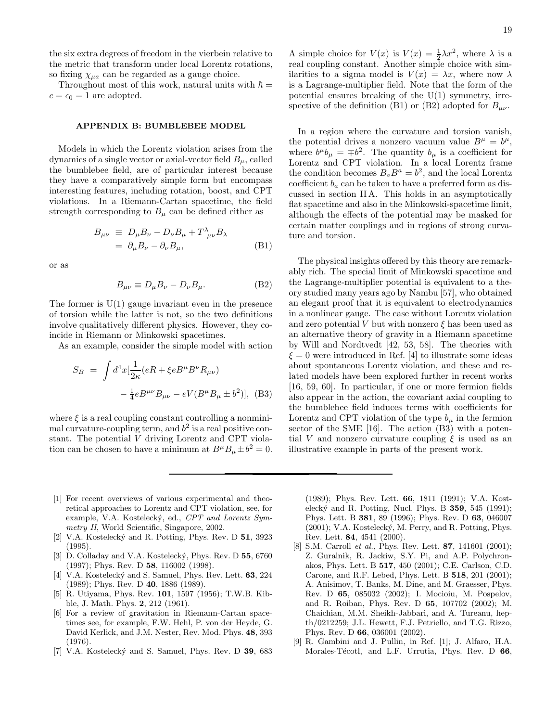the six extra degrees of freedom in the vierbein relative to the metric that transform under local Lorentz rotations, so fixing  $\chi_{\mu a}$  can be regarded as a gauge choice.

Throughout most of this work, natural units with  $\hbar =$  $c = \epsilon_0 = 1$  are adopted.

# APPENDIX B: BUMBLEBEE MODEL

Models in which the Lorentz violation arises from the dynamics of a single vector or axial-vector field  $B_{\mu}$ , called the bumblebee field, are of particular interest because they have a comparatively simple form but encompass interesting features, including rotation, boost, and CPT violations. In a Riemann-Cartan spacetime, the field strength corresponding to  $B_{\mu}$  can be defined either as

$$
B_{\mu\nu} \equiv D_{\mu}B_{\nu} - D_{\nu}B_{\mu} + T^{\lambda}_{\mu\nu}B_{\lambda}
$$
  
=  $\partial_{\mu}B_{\nu} - \partial_{\nu}B_{\mu}$ , (B1)

or as

$$
B_{\mu\nu} \equiv D_{\mu}B_{\nu} - D_{\nu}B_{\mu}.
$$
 (B2)

The former is  $U(1)$  gauge invariant even in the presence of torsion while the latter is not, so the two definitions involve qualitatively different physics. However, they coincide in Riemann or Minkowski spacetimes.

As an example, consider the simple model with action

$$
S_B = \int d^4x \left[ \frac{1}{2\kappa} (eR + \xi eB^{\mu}B^{\nu}R_{\mu\nu}) - \frac{1}{4}eB^{\mu\nu}B_{\mu\nu} - eV(B^{\mu}B_{\mu} \pm b^2) \right], \quad (B3)
$$

where  $\xi$  is a real coupling constant controlling a nonminimal curvature-coupling term, and  $b^2$  is a real positive constant. The potential V driving Lorentz and CPT violation can be chosen to have a minimum at  $B^{\mu}B_{\mu}\pm b^2=0$ .

A simple choice for  $V(x)$  is  $V(x) = \frac{1}{2}\lambda x^2$ , where  $\lambda$  is a real coupling constant. Another simple choice with similarities to a sigma model is  $V(x) = \lambda x$ , where now  $\lambda$ is a Lagrange-multiplier field. Note that the form of the potential ensures breaking of the U(1) symmetry, irrespective of the definition (B1) or (B2) adopted for  $B_{\mu\nu}$ .

In a region where the curvature and torsion vanish, the potential drives a nonzero vacuum value  $B^{\mu} = b^{\mu}$ , where  $b^{\mu}b_{\mu} = \pm b^2$ . The quantity  $b_{\mu}$  is a coefficient for Lorentz and CPT violation. In a local Lorentz frame the condition becomes  $B_a B^a = b^2$ , and the local Lorentz coefficient  $b_a$  can be taken to have a preferred form as discussed in section II A. This holds in an asymptotically flat spacetime and also in the Minkowski-spacetime limit, although the effects of the potential may be masked for certain matter couplings and in regions of strong curvature and torsion.

The physical insights offered by this theory are remarkably rich. The special limit of Minkowski spacetime and the Lagrange-multiplier potential is equivalent to a theory studied many years ago by Nambu [57], who obtained an elegant proof that it is equivalent to electrodynamics in a nonlinear gauge. The case without Lorentz violation and zero potential V but with nonzero  $\xi$  has been used as an alternative theory of gravity in a Riemann spacetime by Will and Nordtvedt [42, 53, 58]. The theories with  $\xi = 0$  were introduced in Ref. [4] to illustrate some ideas about spontaneous Lorentz violation, and these and related models have been explored further in recent works [16, 59, 60]. In particular, if one or more fermion fields also appear in the action, the covariant axial coupling to the bumblebee field induces terms with coefficients for Lorentz and CPT violation of the type  $b_{\mu}$  in the fermion sector of the SME [16]. The action (B3) with a potential V and nonzero curvature coupling  $\xi$  is used as an illustrative example in parts of the present work.

- [1] For recent overviews of various experimental and theoretical approaches to Lorentz and CPT violation, see, for example, V.A. Kostelecký, ed., *CPT and Lorentz Symmetry II*, World Scientific, Singapore, 2002.
- [2] V.A. Kostelecký and R. Potting, Phys. Rev. D 51, 3923 (1995).
- [3] D. Colladay and V.A. Kostelecký, Phys. Rev. D 55, 6760 (1997); Phys. Rev. D 58, 116002 (1998).
- [4] V.A. Kostelecký and S. Samuel, Phys. Rev. Lett. 63, 224 (1989); Phys. Rev. D 40, 1886 (1989).
- [5] R. Utiyama, Phys. Rev. 101, 1597 (1956); T.W.B. Kibble, J. Math. Phys. 2, 212 (1961).
- [6] For a review of gravitation in Riemann-Cartan spacetimes see, for example, F.W. Hehl, P. von der Heyde, G. David Kerlick, and J.M. Nester, Rev. Mod. Phys. 48, 393 (1976).
- [7] V.A. Kostelecký and S. Samuel, Phys. Rev. D  $39,683$

(1989); Phys. Rev. Lett. 66, 1811 (1991); V.A. Kostelecký and R. Potting, Nucl. Phys. B  $359, 545$  (1991); Phys. Lett. B 381, 89 (1996); Phys. Rev. D 63, 046007 (2001); V.A. Kosteleck´y, M. Perry, and R. Potting, Phys. Rev. Lett. 84, 4541 (2000).

- [8] S.M. Carroll *et al.*, Phys. Rev. Lett. **87**, 141601 (2001); Z. Guralnik, R. Jackiw, S.Y. Pi, and A.P. Polychronakos, Phys. Lett. B 517, 450 (2001); C.E. Carlson, C.D. Carone, and R.F. Lebed, Phys. Lett. B 518, 201 (2001); A. Anisimov, T. Banks, M. Dine, and M. Graesser, Phys. Rev. D 65, 085032 (2002); I. Mocioiu, M. Pospelov, and R. Roiban, Phys. Rev. D 65, 107702 (2002); M. Chaichian, M.M. Sheikh-Jabbari, and A. Tureanu, hepth/0212259; J.L. Hewett, F.J. Petriello, and T.G. Rizzo, Phys. Rev. D 66, 036001 (2002).
- [9] R. Gambini and J. Pullin, in Ref. [1]; J. Alfaro, H.A. Morales-Técotl, and L.F. Urrutia, Phys. Rev. D 66,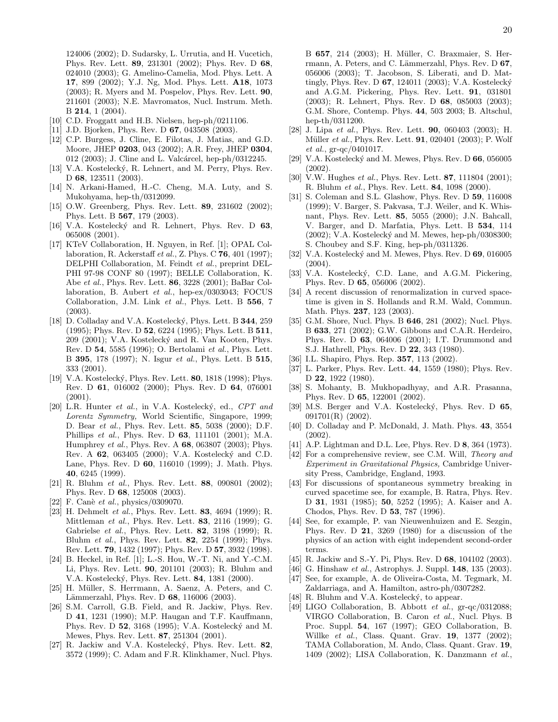124006 (2002); D. Sudarsky, L. Urrutia, and H. Vucetich, Phys. Rev. Lett. 89, 231301 (2002); Phys. Rev. D 68, 024010 (2003); G. Amelino-Camelia, Mod. Phys. Lett. A 17, 899 (2002); Y.J. Ng, Mod. Phys. Lett. A18, 1073 (2003); R. Myers and M. Pospelov, Phys. Rev. Lett. 90, 211601 (2003); N.E. Mavromatos, Nucl. Instrum. Meth. B 214, 1 (2004).

- [10] C.D. Froggatt and H.B. Nielsen, hep-ph/0211106.
- [11] J.D. Bjorken, Phys. Rev. D **67**, 043508 (2003).
- [12] C.P. Burgess, J. Cline, E. Filotas, J. Matias, and G.D. Moore, JHEP 0203, 043 (2002); A.R. Frey, JHEP 0304, 012 (2003); J. Cline and L. Valcárcel, hep-ph/0312245.
- [13] V.A. Kostelecký, R. Lehnert, and M. Perry, Phys. Rev. D 68, 123511 (2003).
- [14] N. Arkani-Hamed, H.-C. Cheng, M.A. Luty, and S. Mukohyama, hep-th/0312099.
- [15] O.W. Greenberg, Phys. Rev. Lett. **89**, 231602 (2002); Phys. Lett. B 567, 179 (2003).
- [16] V.A. Kostelecký and R. Lehnert, Phys. Rev. D 63, 065008 (2001).
- [17] KTeV Collaboration, H. Nguyen, in Ref. [1]; OPAL Collaboration, R. Ackerstaff *et al.*, Z. Phys. C 76, 401 (1997); DELPHI Collaboration, M. Feindt *et al.*, preprint DEL-PHI 97-98 CONF 80 (1997); BELLE Collaboration, K. Abe *et al.*, Phys. Rev. Lett. 86, 3228 (2001); BaBar Collaboration, B. Aubert *et al.*, hep-ex/0303043; FOCUS Collaboration, J.M. Link *et al.*, Phys. Lett. B 556, 7 (2003).
- [18] D. Colladay and V.A. Kostelecký, Phys. Lett. B 344, 259 (1995); Phys. Rev. D 52, 6224 (1995); Phys. Lett. B 511, 209 (2001); V.A. Kostelecký and R. Van Kooten, Phys. Rev. D 54, 5585 (1996); O. Bertolami *et al.*, Phys. Lett. B 395, 178 (1997); N. Isgur *et al.*, Phys. Lett. B 515, 333 (2001).
- [19] V.A. Kostelecký, Phys. Rev. Lett. **80**, 1818 (1998); Phys. Rev. D 61, 016002 (2000); Phys. Rev. D 64, 076001 (2001).
- [20] L.R. Hunter *et al.*, in V.A. Kostelecký, ed., *CPT and Lorentz Symmetry,* World Scientific, Singapore, 1999; D. Bear *et al.*, Phys. Rev. Lett. 85, 5038 (2000); D.F. Phillips *et al.*, Phys. Rev. D 63, 111101 (2001); M.A. Humphrey *et al.*, Phys. Rev. A 68, 063807 (2003); Phys. Rev. A 62, 063405 (2000); V.A. Kostelecký and C.D. Lane, Phys. Rev. D 60, 116010 (1999); J. Math. Phys. 40, 6245 (1999).
- [21] R. Bluhm *et al.*, Phys. Rev. Lett. 88, 090801 (2002); Phys. Rev. D 68, 125008 (2003).
- [22] F. Canè *et al.*, physics/0309070.
- [23] H. Dehmelt *et al.*, Phys. Rev. Lett. 83, 4694 (1999); R. Mittleman *et al.*, Phys. Rev. Lett. 83, 2116 (1999); G. Gabrielse *et al.*, Phys. Rev. Lett. 82, 3198 (1999); R. Bluhm *et al.*, Phys. Rev. Lett. 82, 2254 (1999); Phys. Rev. Lett. 79, 1432 (1997); Phys. Rev. D 57, 3932 (1998).
- [24] B. Heckel, in Ref. [1]; L.-S. Hou, W.-T. Ni, and Y.-C.M. Li, Phys. Rev. Lett. 90, 201101 (2003); R. Bluhm and V.A. Kosteleck´y, Phys. Rev. Lett. 84, 1381 (2000).
- [25] H. Müller, S. Herrmann, A. Saenz, A. Peters, and C. Lämmerzahl, Phys. Rev. D 68, 116006 (2003).
- [26] S.M. Carroll, G.B. Field, and R. Jackiw, Phys. Rev. D 41, 1231 (1990); M.P. Haugan and T.F. Kauffmann, Phys. Rev. D 52, 3168 (1995); V.A. Kostelecký and M. Mewes, Phys. Rev. Lett. 87, 251304 (2001).
- [27] R. Jackiw and V.A. Kostelecký, Phys. Rev. Lett. 82, 3572 (1999); C. Adam and F.R. Klinkhamer, Nucl. Phys.

B 657, 214 (2003); H. Müller, C. Braxmaier, S. Herrmann, A. Peters, and C. Lämmerzahl, Phys. Rev. D 67, 056006 (2003); T. Jacobson, S. Liberati, and D. Mattingly, Phys. Rev. D **67**, 124011 (2003); V.A. Kostelecký and A.G.M. Pickering, Phys. Rev. Lett. 91, 031801 (2003); R. Lehnert, Phys. Rev. D 68, 085003 (2003); G.M. Shore, Contemp. Phys. 44, 503 2003; B. Altschul, hep-th/0311200.

- [28] J. Lipa *et al.*, Phys. Rev. Lett. 90, 060403 (2003); H. Müller *et al.*, Phys. Rev. Lett. **91**, 020401 (2003); P. Wolf *et al.*, gr-qc/0401017.
- [29] V.A. Kostelecký and M. Mewes, Phys. Rev. D  $66$ , 056005 (2002).
- [30] V.W. Hughes *et al.*, Phys. Rev. Lett. **87**, 111804 (2001); R. Bluhm *et al.*, Phys. Rev. Lett. 84, 1098 (2000).
- [31] S. Coleman and S.L. Glashow, Phys. Rev. D 59, 116008 (1999); V. Barger, S. Pakvasa, T.J. Weiler, and K. Whisnant, Phys. Rev. Lett. 85, 5055 (2000); J.N. Bahcall, V. Barger, and D. Marfatia, Phys. Lett. B 534, 114  $(2002)$ ; V.A. Kostelecký and M. Mewes, hep-ph/0308300; S. Choubey and S.F. King, hep-ph/0311326.
- [32] V.A. Kostelecký and M. Mewes, Phys. Rev. D 69, 016005 (2004).
- [33] V.A. Kostelecký, C.D. Lane, and A.G.M. Pickering, Phys. Rev. D 65, 056006 (2002).
- [34] A recent discussion of renormalization in curved spacetime is given in S. Hollands and R.M. Wald, Commun. Math. Phys. 237, 123 (2003).
- [35] G.M. Shore, Nucl. Phys. B 646, 281 (2002); Nucl. Phys. B 633, 271 (2002); G.W. Gibbons and C.A.R. Herdeiro, Phys. Rev. D 63, 064006 (2001); I.T. Drummond and S.J. Hathrell, Phys. Rev. D 22, 343 (1980).
- [36] I.L. Shapiro, Phys. Rep. **357**, 113 (2002).
- [37] L. Parker, Phys. Rev. Lett. 44, 1559 (1980); Phys. Rev. D 22, 1922 (1980).
- [38] S. Mohanty, B. Mukhopadhyay, and A.R. Prasanna, Phys. Rev. D 65, 122001 (2002).
- [39] M.S. Berger and V.A. Kostelecký, Phys. Rev. D 65, 091701(R) (2002).
- [40] D. Colladay and P. McDonald, J. Math. Phys. 43, 3554 (2002).
- [41] A.P. Lightman and D.L. Lee, Phys. Rev. D 8, 364 (1973).
- [42] For a comprehensive review, see C.M. Will, *Theory and Experiment in Gravitational Physics,* Cambridge University Press, Cambridge, England, 1993.
- [43] For discussions of spontaneous symmetry breaking in curved spacetime see, for example, B. Ratra, Phys. Rev. D 31, 1931 (1985); 50, 5252 (1995); A. Kaiser and A. Chodos, Phys. Rev. D 53, 787 (1996).
- [44] See, for example, P. van Nieuwenhuizen and E. Sezgin, Phys. Rev. D 21, 3269 (1980) for a discussion of the physics of an action with eight independent second-order terms.
- [45] R. Jackiw and S.-Y. Pi, Phys. Rev. D 68, 104102 (2003).
- [46] G. Hinshaw *et al.*, Astrophys. J. Suppl. 148, 135 (2003).
- [47] See, for example, A. de Oliveira-Costa, M. Tegmark, M. Zaldarriaga, and A. Hamilton, astro-ph/0307282.
- [48] R. Bluhm and V.A. Kostelecký, to appear.<br>[49] LIGO Collaboration, B. Abbott et al., g
- [49] LIGO Collaboration, B. Abbott *et al.*, gr-qc/0312088; VIRGO Collaboration, B. Caron *et al.*, Nucl. Phys. B Proc. Suppl. 54, 167 (1997); GEO Collaboration, B. Willke *et al.*, Class. Quant. Grav. 19, 1377 (2002); TAMA Collaboration, M. Ando, Class. Quant. Grav. 19, 1409 (2002); LISA Collaboration, K. Danzmann *et al.*,